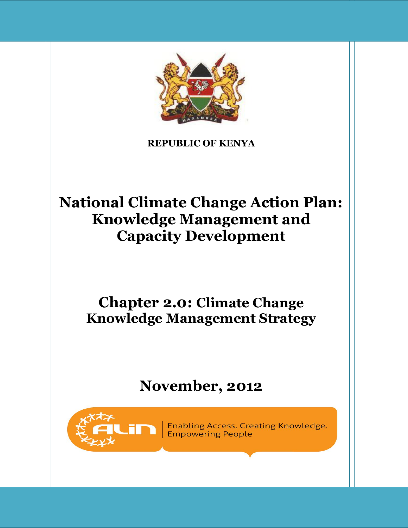

**REPUBLIC OF KENYA**

# **National Climate Change Action Plan: Knowledge Management and Capacity Development**

# **Chapter 2.0: Climate Change Knowledge Management Strategy**

# **November, 2012**



Enabling Access. Creating Knowledge.<br>Empowering People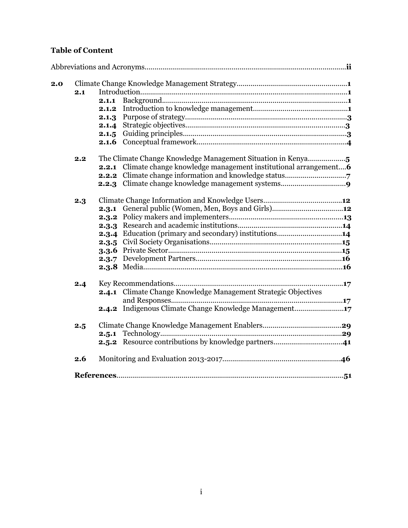## **Table of Content**

| 2.0 |     |                                                                              |  |
|-----|-----|------------------------------------------------------------------------------|--|
|     | 2.1 |                                                                              |  |
|     |     | 2.1.1                                                                        |  |
|     |     | 2.1.2                                                                        |  |
|     |     | 2.1.3                                                                        |  |
|     |     | 2.1.4                                                                        |  |
|     |     | 2.1.5                                                                        |  |
|     |     |                                                                              |  |
|     | 2.2 | The Climate Change Knowledge Management Situation in Kenya5                  |  |
|     |     | <b>2.2.1</b> Climate change knowledge management institutional arrangement 6 |  |
|     |     |                                                                              |  |
|     |     |                                                                              |  |
|     | 2.3 |                                                                              |  |
|     |     |                                                                              |  |
|     |     |                                                                              |  |
|     |     |                                                                              |  |
|     |     | 2.3.4 Education (primary and secondary) institutions14                       |  |
|     |     |                                                                              |  |
|     |     |                                                                              |  |
|     |     |                                                                              |  |
|     |     |                                                                              |  |
|     | 2.4 |                                                                              |  |
|     |     | <b>2.4.1</b> Climate Change Knowledge Management Strategic Objectives        |  |
|     |     |                                                                              |  |
|     |     | 2.4.2 Indigenous Climate Change Knowledge Management17                       |  |
|     | 2.5 |                                                                              |  |
|     |     |                                                                              |  |
|     |     |                                                                              |  |
|     | 2.6 |                                                                              |  |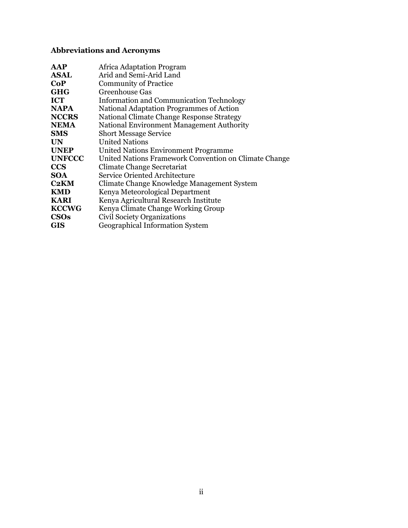# **Abbreviations and Acronyms**

| AAP           | <b>Africa Adaptation Program</b>                      |
|---------------|-------------------------------------------------------|
| <b>ASAL</b>   | Arid and Semi-Arid Land                               |
| CoP           | <b>Community of Practice</b>                          |
| <b>GHG</b>    | Greenhouse Gas                                        |
| <b>ICT</b>    | <b>Information and Communication Technology</b>       |
| <b>NAPA</b>   | National Adaptation Programmes of Action              |
| <b>NCCRS</b>  | National Climate Change Response Strategy             |
| <b>NEMA</b>   | National Environment Management Authority             |
| <b>SMS</b>    | <b>Short Message Service</b>                          |
| UN            | <b>United Nations</b>                                 |
| <b>UNEP</b>   | <b>United Nations Environment Programme</b>           |
| <b>UNFCCC</b> | United Nations Framework Convention on Climate Change |
| ccs           | Climate Change Secretariat                            |
| <b>SOA</b>    | Service Oriented Architecture                         |
| C2KM          | Climate Change Knowledge Management System            |
| <b>KMD</b>    | Kenya Meteorological Department                       |
| <b>KARI</b>   | Kenya Agricultural Research Institute                 |
| <b>KCCWG</b>  | Kenya Climate Change Working Group                    |
| <b>CSOs</b>   | Civil Society Organizations                           |
| GIS           | Geographical Information System                       |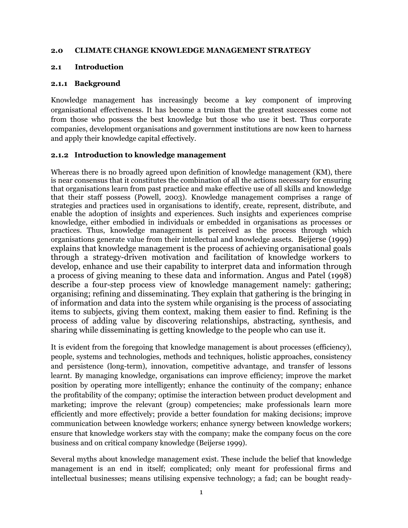#### **2.0 CLIMATE CHANGE KNOWLEDGE MANAGEMENT STRATEGY**

#### **2.1 Introduction**

#### **2.1.1 Background**

Knowledge management has increasingly become a key component of improving organisational effectiveness. It has become a truism that the greatest successes come not from those who possess the best knowledge but those who use it best. Thus corporate companies, development organisations and government institutions are now keen to harness and apply their knowledge capital effectively.

#### **2.1.2 Introduction to knowledge management**

Whereas there is no broadly agreed upon definition of knowledge management (KM), there is near consensus that it constitutes the combination of all the actions necessary for ensuring that organisations learn from past practice and make effective use of all skills and knowledge that their staff possess (Powell, 2003). Knowledge management comprises a range of strategies and practices used in organisations to identify, create, represent, distribute, and enable the adoption of [insights](http://en.wikipedia.org/wiki/Insight) and [experiences.](http://en.wikipedia.org/wiki/Experience) Such insights and experiences comprise [knowledge,](http://en.wikipedia.org/wiki/Knowledge) either embodied in individuals or embedded in organisations as [processes](http://en.wikipedia.org/wiki/Business_process) or practices. Thus, knowledge management is perceived as the process through which organisations generate value from their intellectual and knowledge assets. Beijerse (1999) explains that knowledge management is the process of achieving organisational goals through a strategy-driven motivation and facilitation of knowledge workers to develop, enhance and use their capability to interpret data and information through a process of giving meaning to these data and information. Angus and Patel (1998) describe a four-step process view of knowledge management namely: gathering; organising; refining and disseminating. They explain that gathering is the bringing in of information and data into the system while organising is the process of associating items to subjects, giving them context, making them easier to find. Refining is the process of adding value by discovering relationships, abstracting, synthesis, and sharing while disseminating is getting knowledge to the people who can use it.

It is evident from the foregoing that knowledge management is about processes (efficiency), people, systems and technologies, methods and techniques, holistic approaches, consistency and persistence (long-term), innovation, competitive advantage, and transfer of lessons learnt. By managing knowledge, organisations can improve efficiency; improve the market position by operating more intelligently; enhance the continuity of the company; enhance the profitability of the company; optimise the interaction between product development and marketing; improve the relevant (group) competencies; make professionals learn more efficiently and more effectively; provide a better foundation for making decisions; improve communication between knowledge workers; enhance synergy between knowledge workers; ensure that knowledge workers stay with the company; make the company focus on the core business and on critical company knowledge (Beijerse 1999).

Several myths about knowledge management exist. These include the belief that knowledge management is an end in itself; complicated; only meant for professional firms and intellectual businesses; means utilising expensive technology; a fad; can be bought ready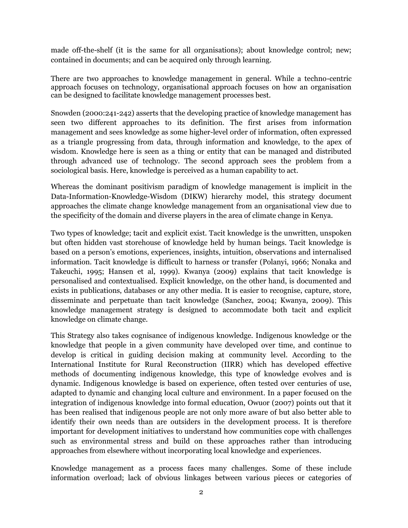made off-the-shelf (it is the same for all organisations); about knowledge control; new; contained in documents; and can be acquired only through learning.

There are two approaches to knowledge management in general. While a techno-centric approach focuses on technology, organisational approach focuses on how an organisation can be designed to facilitate knowledge management processes best.

Snowden (2000:241-242) asserts that the developing practice of knowledge management has seen two different approaches to its definition. The first arises from information management and sees knowledge as some higher-level order of information, often expressed as a triangle progressing from data, through information and knowledge, to the apex of wisdom. Knowledge here is seen as a thing or entity that can be managed and distributed through advanced use of technology. The second approach sees the problem from a sociological basis. Here, knowledge is perceived as a human capability to act.

Whereas the dominant positivism paradigm of knowledge management is implicit in the Data-Information-Knowledge-Wisdom (DIKW) hierarchy model, this strategy document approaches the climate change knowledge management from an organisational view due to the specificity of the domain and diverse players in the area of climate change in Kenya.

Two types of knowledge; tacit and explicit exist. Tacit knowledge is the unwritten, unspoken but often hidden vast storehouse of knowledge held by human beings. Tacit knowledge is based on a person's emotions, experiences, insights, intuition, observations and internalised information. Tacit knowledge is difficult to harness or transfer (Polanyi, 1966; Nonaka and Takeuchi, 1995; Hansen et al, 1999). Kwanya (2009) explains that tacit knowledge is personalised and contextualised. Explicit knowledge, on the other hand, is documented and exists in publications, databases or any other media. It is easier to recognise, capture, store, disseminate and perpetuate than tacit knowledge (Sanchez, 2004; Kwanya, 2009). This knowledge management strategy is designed to accommodate both tacit and explicit knowledge on climate change.

This Strategy also takes cognisance of indigenous knowledge. Indigenous knowledge or the knowledge that people in a given community have developed over time, and continue to develop is critical in guiding decision making at community level. According to the International Institute for Rural Reconstruction (IIRR) which has developed effective methods of documenting indigenous knowledge, this type of knowledge evolves and is dynamic. Indigenous knowledge is based on experience, often tested over centuries of use, adapted to dynamic and changing local culture and environment. In a paper focused on the integration of indigenous knowledge into formal education, Owuor (2007) points out that it has been realised that indigenous people are not only more aware of but also better able to identify their own needs than are outsiders in the development process. It is therefore important for development initiatives to understand how communities cope with challenges such as environmental stress and build on these approaches rather than introducing approaches from elsewhere without incorporating local knowledge and experiences.

Knowledge management as a process faces many challenges. Some of these include information overload; lack of obvious linkages between various pieces or categories of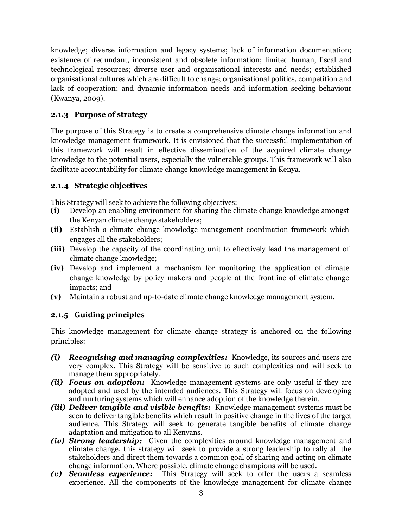knowledge; diverse information and legacy systems; lack of information documentation; existence of redundant, inconsistent and obsolete information; limited human, fiscal and technological resources; diverse user and organisational interests and needs; established organisational cultures which are difficult to change; organisational politics, competition and lack of cooperation; and dynamic information needs and information seeking behaviour (Kwanya, 2009).

#### **2.1.3 Purpose of strategy**

The purpose of this Strategy is to create a comprehensive climate change information and knowledge management framework. It is envisioned that the successful implementation of this framework will result in effective dissemination of the acquired climate change knowledge to the potential users, especially the vulnerable groups. This framework will also facilitate accountability for climate change knowledge management in Kenya.

#### **2.1.4 Strategic objectives**

This Strategy will seek to achieve the following objectives:

- **(i)** Develop an enabling environment for sharing the climate change knowledge amongst the Kenyan climate change stakeholders;
- **(ii)** Establish a climate change knowledge management coordination framework which engages all the stakeholders;
- **(iii)** Develop the capacity of the coordinating unit to effectively lead the management of climate change knowledge;
- **(iv)** Develop and implement a mechanism for monitoring the application of climate change knowledge by policy makers and people at the frontline of climate change impacts; and
- **(v)** Maintain a robust and up-to-date climate change knowledge management system.

#### **2.1.5 Guiding principles**

This knowledge management for climate change strategy is anchored on the following principles:

- *(i) Recognising and managing complexities:*Knowledge, its sources and users are very complex. This Strategy will be sensitive to such complexities and will seek to manage them appropriately.
- *(ii) Focus on adoption:*Knowledge management systems are only useful if they are adopted and used by the intended audiences. This Strategy will focus on developing and nurturing systems which will enhance adoption of the knowledge therein.
- *(iii) Deliver tangible and visible benefits:* Knowledge management systems must be seen to deliver tangible benefits which result in positive change in the lives of the target audience. This Strategy will seek to generate tangible benefits of climate change adaptation and mitigation to all Kenyans.
- *(iv) Strong leadership:*Given the complexities around knowledge management and climate change, this strategy will seek to provide a strong leadership to rally all the stakeholders and direct them towards a common goal of sharing and acting on climate change information. Where possible, climate change champions will be used.
- *(v) Seamless experience:*This Strategy will seek to offer the users a seamless experience. All the components of the knowledge management for climate change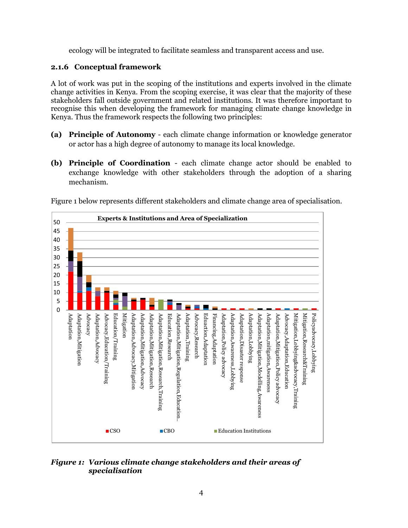ecology will be integrated to facilitate seamless and transparent access and use.

#### **2.1.6 Conceptual framework**

A lot of work was put in the scoping of the institutions and experts involved in the climate change activities in Kenya. From the scoping exercise, it was clear that the majority of these stakeholders fall outside government and related institutions. It was therefore important to recognise this when developing the framework for managing climate change knowledge in Kenya. Thus the framework respects the following two principles:

- **(a) Principle of Autonomy** each climate change information or knowledge generator or actor has a high degree of autonomy to manage its local knowledge.
- **(b) Principle of Coordination** each climate change actor should be enabled to exchange knowledge with other stakeholders through the adoption of a sharing mechanism.



Figure 1 below represents different stakeholders and climate change area of specialisation.

## *Figure 1: Various climate change stakeholders and their areas of specialisation*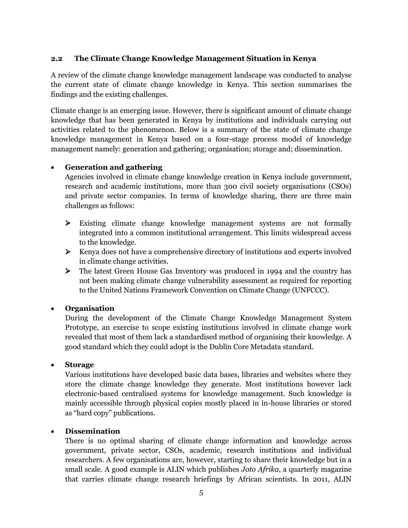#### **2.2 The Climate Change Knowledge Management Situation in Kenya**

A review of the climate change knowledge management landscape was conducted to analyse the current state of climate change knowledge in Kenya. This section summarises the findings and the existing challenges.

Climate change is an emerging issue. However, there is significant amount of climate change knowledge that has been generated in Kenya by institutions and individuals carrying out activities related to the phenomenon. Below is a summary of the state of climate change knowledge management in Kenya based on a four-stage process model of knowledge management namely: generation and gathering; organisation; storage and; dissemination.

#### **Generation and gathering**

Agencies involved in climate change knowledge creation in Kenya include government, research and academic institutions, more than 300 civil society organisations (CSOs) and private sector companies. In terms of knowledge sharing, there are three main challenges as follows:

- $\triangleright$  Existing climate change knowledge management systems are not formally integrated into a common institutional arrangement. This limits widespread access to the knowledge.
- $\triangleright$  Kenya does not have a comprehensive directory of institutions and experts involved in climate change activities.
- The latest Green House Gas Inventory was produced in 1994 and the country has not been making climate change vulnerability assessment as required for reporting to the United Nations Framework Convention on Climate Change (UNFCCC).

#### **Organisation**

During the development of the Climate Change Knowledge Management System Prototype, an exercise to scope existing institutions involved in climate change work revealed that most of them lack a standardised method of organising their knowledge. A good standard which they could adopt is the Dublin Core Metadata standard.

#### **Storage**

Various institutions have developed basic data bases, libraries and websites where they store the climate change knowledge they generate. Most institutions however lack electronic-based centralised systems for knowledge management. Such knowledge is mainly accessible through physical copies mostly placed in in-house libraries or stored as "hard copy" publications.

#### **Dissemination**

There is no optimal sharing of climate change information and knowledge across government, private sector, CSOs, academic, research institutions and individual researchers. A few organisations are, however, starting to share their knowledge but in a small scale. A good example is ALIN which publishes *Joto Afrika*, a quarterly magazine that carries climate change research briefings by African scientists. In 2011, ALIN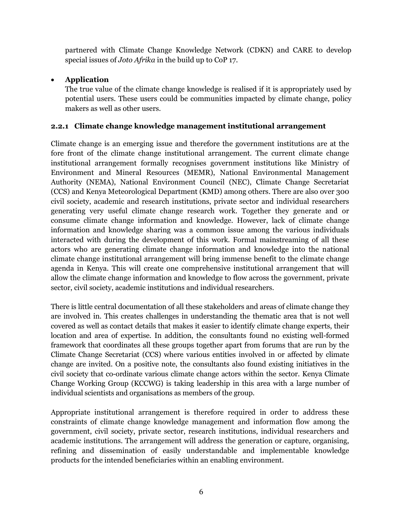partnered with Climate Change Knowledge Network (CDKN) and CARE to develop special issues of *Joto Afrika* in the build up to CoP 17.

#### **Application**

The true value of the climate change knowledge is realised if it is appropriately used by potential users. These users could be communities impacted by climate change, policy makers as well as other users.

#### **2.2.1 Climate change knowledge management institutional arrangement**

Climate change is an emerging issue and therefore the government institutions are at the fore front of the climate change institutional arrangement. The current climate change institutional arrangement formally recognises government institutions like Ministry of Environment and Mineral Resources (MEMR), National Environmental Management Authority (NEMA), National Environment Council (NEC), Climate Change Secretariat (CCS) and Kenya Meteorological Department (KMD) among others. There are also over 300 civil society, academic and research institutions, private sector and individual researchers generating very useful climate change research work. Together they generate and or consume climate change information and knowledge. However, lack of climate change information and knowledge sharing was a common issue among the various individuals interacted with during the development of this work. Formal mainstreaming of all these actors who are generating climate change information and knowledge into the national climate change institutional arrangement will bring immense benefit to the climate change agenda in Kenya. This will create one comprehensive institutional arrangement that will allow the climate change information and knowledge to flow across the government, private sector, civil society, academic institutions and individual researchers.

There is little central documentation of all these stakeholders and areas of climate change they are involved in. This creates challenges in understanding the thematic area that is not well covered as well as contact details that makes it easier to identify climate change experts, their location and area of expertise. In addition, the consultants found no existing well-formed framework that coordinates all these groups together apart from forums that are run by the Climate Change Secretariat (CCS) where various entities involved in or affected by climate change are invited. On a positive note, the consultants also found existing initiatives in the civil society that co-ordinate various climate change actors within the sector. Kenya Climate Change Working Group (KCCWG) is taking leadership in this area with a large number of individual scientists and organisations as members of the group.

Appropriate institutional arrangement is therefore required in order to address these constraints of climate change knowledge management and information flow among the government, civil society, private sector, research institutions, individual researchers and academic institutions. The arrangement will address the generation or capture, organising, refining and dissemination of easily understandable and implementable knowledge products for the intended beneficiaries within an enabling environment.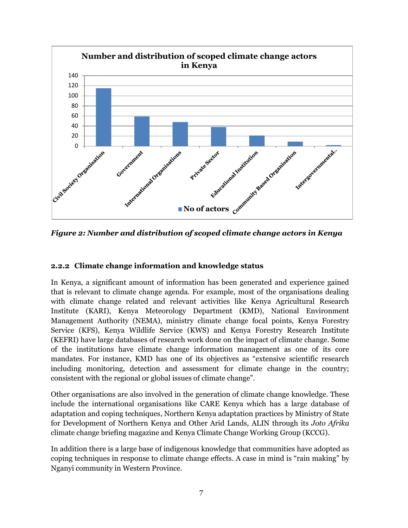

*Figure 2: Number and distribution of scoped climate change actors in Kenya* 

#### **2.2.2 Climate change information and knowledge status**

In Kenya, a significant amount of information has been generated and experience gained that is relevant to climate change agenda. For example, most of the organisations dealing with climate change related and relevant activities like Kenya Agricultural Research Institute (KARI), Kenya Meteorology Department (KMD), National Environment Management Authority (NEMA), ministry climate change focal points, Kenya Forestry Service (KFS), Kenya Wildlife Service (KWS) and Kenya Forestry Research Institute (KEFRI) have large databases of research work done on the impact of climate change. Some of the institutions have climate change information management as one of its core mandates. For instance, KMD has one of its objectives as "extensive scientific research including monitoring, detection and assessment for climate change in the country; consistent with the regional or global issues of climate change".

Other organisations are also involved in the generation of climate change knowledge. These include the international organisations like CARE Kenya which has a large database of adaptation and coping techniques, Northern Kenya adaptation practices by Ministry of State for Development of Northern Kenya and Other Arid Lands, ALIN through its *Joto Afrika* climate change briefing magazine and Kenya Climate Change Working Group (KCCG).

In addition there is a large base of indigenous knowledge that communities have adopted as coping techniques in response to climate change effects. A case in mind is "rain making" by Nganyi community in Western Province.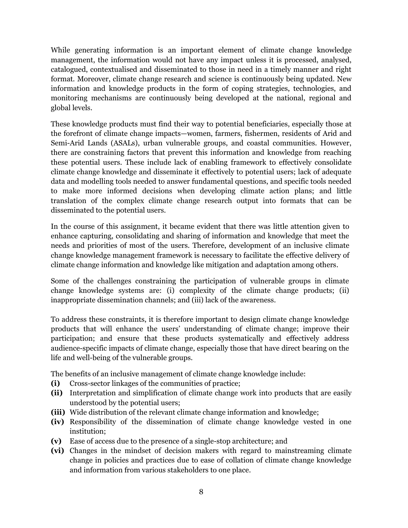While generating information is an important element of climate change knowledge management, the information would not have any impact unless it is processed, analysed, catalogued, contextualised and disseminated to those in need in a timely manner and right format. Moreover, climate change research and science is continuously being updated. New information and knowledge products in the form of coping strategies, technologies, and monitoring mechanisms are continuously being developed at the national, regional and global levels.

These knowledge products must find their way to potential beneficiaries, especially those at the forefront of climate change impacts—women, farmers, fishermen, residents of Arid and Semi-Arid Lands (ASALs), urban vulnerable groups, and coastal communities. However, there are constraining factors that prevent this information and knowledge from reaching these potential users. These include lack of enabling framework to effectively consolidate climate change knowledge and disseminate it effectively to potential users; lack of adequate data and modelling tools needed to answer fundamental questions, and specific tools needed to make more informed decisions when developing climate action plans; and little translation of the complex climate change research output into formats that can be disseminated to the potential users.

In the course of this assignment, it became evident that there was little attention given to enhance capturing, consolidating and sharing of information and knowledge that meet the needs and priorities of most of the users. Therefore, development of an inclusive climate change knowledge management framework is necessary to facilitate the effective delivery of climate change information and knowledge like mitigation and adaptation among others.

Some of the challenges constraining the participation of vulnerable groups in climate change knowledge systems are: (i) complexity of the climate change products; (ii) inappropriate dissemination channels; and (iii) lack of the awareness.

To address these constraints, it is therefore important to design climate change knowledge products that will enhance the users' understanding of climate change; improve their participation; and ensure that these products systematically and effectively address audience-specific impacts of climate change, especially those that have direct bearing on the life and well-being of the vulnerable groups.

The benefits of an inclusive management of climate change knowledge include:

- **(i)** Cross-sector linkages of the communities of practice;
- **(ii)** Interpretation and simplification of climate change work into products that are easily understood by the potential users;
- **(iii)** Wide distribution of the relevant climate change information and knowledge;
- **(iv)** Responsibility of the dissemination of climate change knowledge vested in one institution;
- **(v)** Ease of access due to the presence of a single-stop architecture; and
- **(vi)** Changes in the mindset of decision makers with regard to mainstreaming climate change in policies and practices due to ease of collation of climate change knowledge and information from various stakeholders to one place.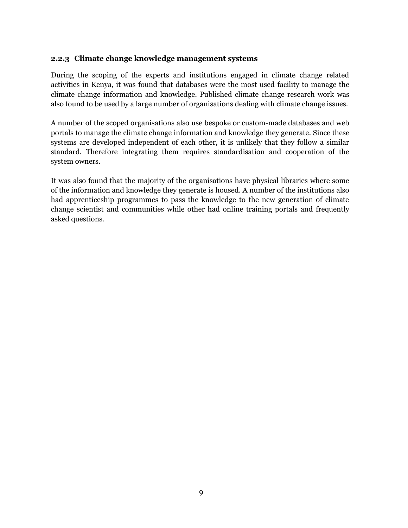#### **2.2.3 Climate change knowledge management systems**

During the scoping of the experts and institutions engaged in climate change related activities in Kenya, it was found that databases were the most used facility to manage the climate change information and knowledge. Published climate change research work was also found to be used by a large number of organisations dealing with climate change issues.

A number of the scoped organisations also use bespoke or custom-made databases and web portals to manage the climate change information and knowledge they generate. Since these systems are developed independent of each other, it is unlikely that they follow a similar standard. Therefore integrating them requires standardisation and cooperation of the system owners.

It was also found that the majority of the organisations have physical libraries where some of the information and knowledge they generate is housed. A number of the institutions also had apprenticeship programmes to pass the knowledge to the new generation of climate change scientist and communities while other had online training portals and frequently asked questions.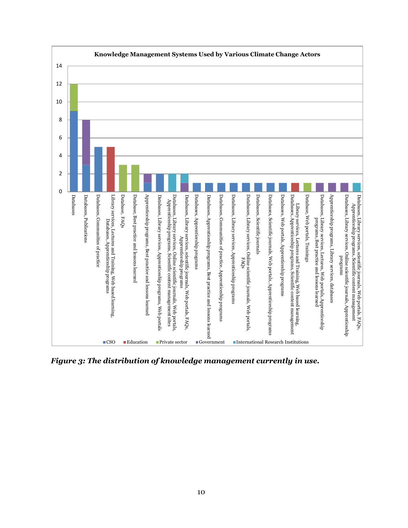

*Figure 3: The distribution of knowledge management currently in use.*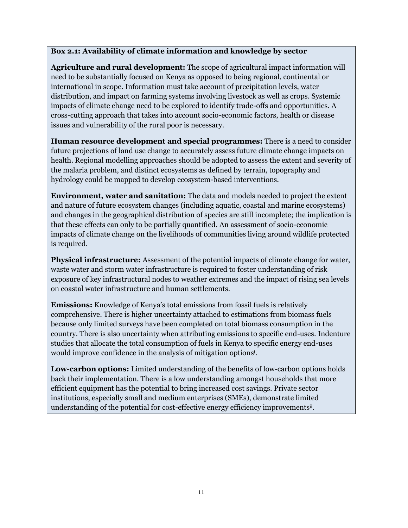#### **Box 2.1: Availability of climate information and knowledge by sector**

**Agriculture and rural development:** The scope of agricultural impact information will need to be substantially focused on Kenya as opposed to being regional, continental or international in scope. Information must take account of precipitation levels, water distribution, and impact on farming systems involving livestock as well as crops. Systemic impacts of climate change need to be explored to identify trade-offs and opportunities. A cross-cutting approach that takes into account socio-economic factors, health or disease issues and vulnerability of the rural poor is necessary.

**Human resource development and special programmes:** There is a need to consider future projections of land use change to accurately assess future climate change impacts on health. Regional modelling approaches should be adopted to assess the extent and severity of the malaria problem, and distinct ecosystems as defined by terrain, topography and hydrology could be mapped to develop ecosystem-based interventions.

**Environment, water and sanitation:** The data and models needed to project the extent and nature of future ecosystem changes (including aquatic, coastal and marine ecosystems) and changes in the geographical distribution of species are still incomplete; the implication is that these effects can only to be partially quantified. An assessment of socio-economic impacts of climate change on the livelihoods of communities living around wildlife protected is required.

**Physical infrastructure:** Assessment of the potential impacts of climate change for water, waste water and storm water infrastructure is required to foster understanding of risk exposure of key infrastructural nodes to weather extremes and the impact of rising sea levels on coastal water infrastructure and human settlements.

**Emissions:** Knowledge of Kenya's total emissions from fossil fuels is relatively comprehensive. There is higher uncertainty attached to estimations from biomass fuels because only limited surveys have been completed on total biomass consumption in the country. There is also uncertainty when attributing emissions to specific end-uses. Indenture studies that allocate the total consumption of fuels in Kenya to specific energy end-uses would improve confidence in the analysis of mitigation options<sup>i</sup> .

**Low-carbon options:** Limited understanding of the benefits of low-carbon options holds back their implementation. There is a low understanding amongst households that more efficient equipment has the potential to bring increased cost savings. Private sector institutions, especially small and medium enterprises (SMEs), demonstrate limited understanding of the potential for cost-effective energy efficiency improvements<sup>ii</sup>.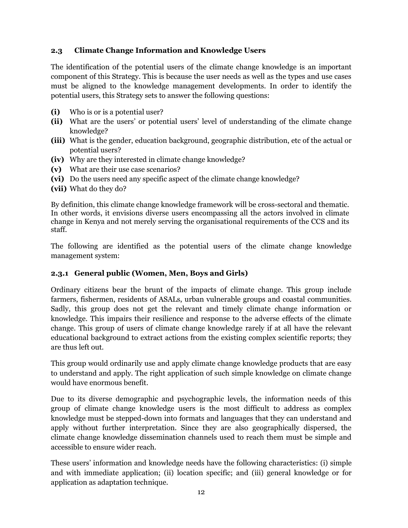#### **2.3 Climate Change Information and Knowledge Users**

The identification of the potential users of the climate change knowledge is an important component of this Strategy. This is because the user needs as well as the types and use cases must be aligned to the knowledge management developments. In order to identify the potential users, this Strategy sets to answer the following questions:

- **(i)** Who is or is a potential user?
- **(ii)** What are the users' or potential users' level of understanding of the climate change knowledge?
- **(iii)** What is the gender, education background, geographic distribution, etc of the actual or potential users?
- **(iv)** Why are they interested in climate change knowledge?
- **(v)** What are their use case scenarios?
- **(vi)** Do the users need any specific aspect of the climate change knowledge?
- **(vii)** What do they do?

By definition, this climate change knowledge framework will be cross-sectoral and thematic. In other words, it envisions diverse users encompassing all the actors involved in climate change in Kenya and not merely serving the organisational requirements of the CCS and its staff.

The following are identified as the potential users of the climate change knowledge management system:

#### **2.3.1 General public (Women, Men, Boys and Girls)**

Ordinary citizens bear the brunt of the impacts of climate change. This group include farmers, fishermen, residents of ASALs, urban vulnerable groups and coastal communities. Sadly, this group does not get the relevant and timely climate change information or knowledge. This impairs their resilience and response to the adverse effects of the climate change. This group of users of climate change knowledge rarely if at all have the relevant educational background to extract actions from the existing complex scientific reports; they are thus left out.

This group would ordinarily use and apply climate change knowledge products that are easy to understand and apply. The right application of such simple knowledge on climate change would have enormous benefit.

Due to its diverse demographic and psychographic levels, the information needs of this group of climate change knowledge users is the most difficult to address as complex knowledge must be stepped-down into formats and languages that they can understand and apply without further interpretation. Since they are also geographically dispersed, the climate change knowledge dissemination channels used to reach them must be simple and accessible to ensure wider reach.

These users' information and knowledge needs have the following characteristics: (i) simple and with immediate application; (ii) location specific; and (iii) general knowledge or for application as adaptation technique.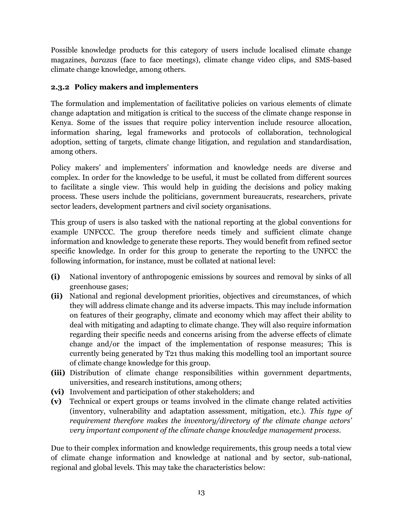Possible knowledge products for this category of users include localised climate change magazines, *baraza*s (face to face meetings), climate change video clips, and SMS-based climate change knowledge, among others.

## **2.3.2 Policy makers and implementers**

The formulation and implementation of facilitative policies on various elements of climate change adaptation and mitigation is critical to the success of the climate change response in Kenya. Some of the issues that require policy intervention include resource allocation, information sharing, legal frameworks and protocols of collaboration, technological adoption, setting of targets, climate change litigation, and regulation and standardisation, among others.

Policy makers' and implementers' information and knowledge needs are diverse and complex. In order for the knowledge to be useful, it must be collated from different sources to facilitate a single view. This would help in guiding the decisions and policy making process. These users include the politicians, government bureaucrats, researchers, private sector leaders, development partners and civil society organisations.

This group of users is also tasked with the national reporting at the global conventions for example UNFCCC. The group therefore needs timely and sufficient climate change information and knowledge to generate these reports. They would benefit from refined sector specific knowledge. In order for this group to generate the reporting to the UNFCC the following information, for instance, must be collated at national level:

- **(i)** National inventory of anthropogenic emissions by sources and removal by sinks of all greenhouse gases;
- **(ii)** National and regional development priorities, objectives and circumstances, of which they will address climate change and its adverse impacts. This may include information on features of their geography, climate and economy which may affect their ability to deal with mitigating and adapting to climate change. They will also require information regarding their specific needs and concerns arising from the adverse effects of climate change and/or the impact of the implementation of response measures; This is currently being generated by T21 thus making this modelling tool an important source of climate change knowledge for this group.
- **(iii)** Distribution of climate change responsibilities within government departments, universities, and research institutions, among others;
- **(vi)** Involvement and participation of other stakeholders; and
- **(v)** Technical or expert groups or teams involved in the climate change related activities (inventory, vulnerability and adaptation assessment, mitigation, etc.). *This type of requirement therefore makes the inventory/directory of the climate change actors' very important component of the climate change knowledge management process.*

Due to their complex information and knowledge requirements, this group needs a total view of climate change information and knowledge at national and by sector, sub-national, regional and global levels. This may take the characteristics below: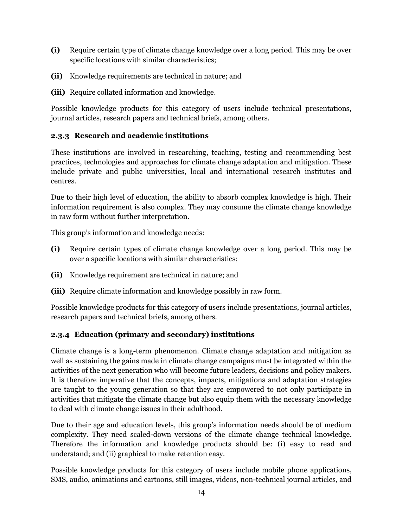- **(i)** Require certain type of climate change knowledge over a long period. This may be over specific locations with similar characteristics;
- **(ii)** Knowledge requirements are technical in nature; and
- **(iii)** Require collated information and knowledge.

Possible knowledge products for this category of users include technical presentations, journal articles, research papers and technical briefs, among others.

## **2.3.3 Research and academic institutions**

These institutions are involved in researching, teaching, testing and recommending best practices, technologies and approaches for climate change adaptation and mitigation. These include private and public universities, local and international research institutes and centres.

Due to their high level of education, the ability to absorb complex knowledge is high. Their information requirement is also complex. They may consume the climate change knowledge in raw form without further interpretation.

This group's information and knowledge needs:

- **(i)** Require certain types of climate change knowledge over a long period. This may be over a specific locations with similar characteristics;
- **(ii)** Knowledge requirement are technical in nature; and
- **(iii)** Require climate information and knowledge possibly in raw form.

Possible knowledge products for this category of users include presentations, journal articles, research papers and technical briefs, among others.

## **2.3.4 Education (primary and secondary) institutions**

Climate change is a long-term phenomenon. Climate change adaptation and mitigation as well as sustaining the gains made in climate change campaigns must be integrated within the activities of the next generation who will become future leaders, decisions and policy makers. It is therefore imperative that the concepts, impacts, mitigations and adaptation strategies are taught to the young generation so that they are empowered to not only participate in activities that mitigate the climate change but also equip them with the necessary knowledge to deal with climate change issues in their adulthood.

Due to their age and education levels, this group's information needs should be of medium complexity. They need scaled-down versions of the climate change technical knowledge. Therefore the information and knowledge products should be: (i) easy to read and understand; and (ii) graphical to make retention easy.

Possible knowledge products for this category of users include mobile phone applications, SMS, audio, animations and cartoons, still images, videos, non-technical journal articles, and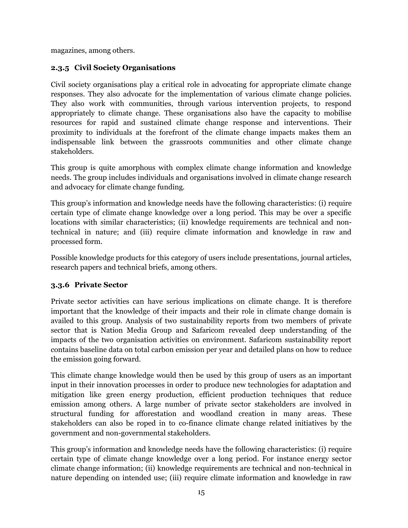magazines, among others.

#### **2.3.5 Civil Society Organisations**

Civil society organisations play a critical role in advocating for appropriate climate change responses. They also advocate for the implementation of various climate change policies. They also work with communities, through various intervention projects, to respond appropriately to climate change. These organisations also have the capacity to mobilise resources for rapid and sustained climate change response and interventions. Their proximity to individuals at the forefront of the climate change impacts makes them an indispensable link between the grassroots communities and other climate change stakeholders.

This group is quite amorphous with complex climate change information and knowledge needs. The group includes individuals and organisations involved in climate change research and advocacy for climate change funding.

This group's information and knowledge needs have the following characteristics: (i) require certain type of climate change knowledge over a long period. This may be over a specific locations with similar characteristics; (ii) knowledge requirements are technical and nontechnical in nature; and (iii) require climate information and knowledge in raw and processed form.

Possible knowledge products for this category of users include presentations, journal articles, research papers and technical briefs, among others.

#### **3.3.6 Private Sector**

Private sector activities can have serious implications on climate change. It is therefore important that the knowledge of their impacts and their role in climate change domain is availed to this group. Analysis of two sustainability reports from two members of private sector that is Nation Media Group and Safaricom revealed deep understanding of the impacts of the two organisation activities on environment. Safaricom sustainability report contains baseline data on total carbon emission per year and detailed plans on how to reduce the emission going forward.

This climate change knowledge would then be used by this group of users as an important input in their innovation processes in order to produce new technologies for adaptation and mitigation like green energy production, efficient production techniques that reduce emission among others. A large number of private sector stakeholders are involved in structural funding for afforestation and woodland creation in many areas. These stakeholders can also be roped in to co-finance climate change related initiatives by the government and non-governmental stakeholders.

This group's information and knowledge needs have the following characteristics: (i) require certain type of climate change knowledge over a long period. For instance energy sector climate change information; (ii) knowledge requirements are technical and non-technical in nature depending on intended use; (iii) require climate information and knowledge in raw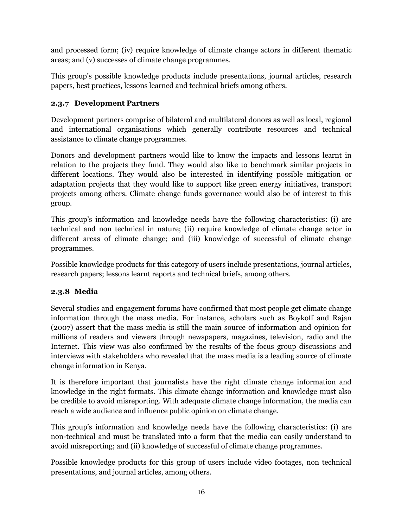and processed form; (iv) require knowledge of climate change actors in different thematic areas; and (v) successes of climate change programmes.

This group's possible knowledge products include presentations, journal articles, research papers, best practices, lessons learned and technical briefs among others.

## **2.3.7 Development Partners**

Development partners comprise of bilateral and multilateral donors as well as local, regional and international organisations which generally contribute resources and technical assistance to climate change programmes.

Donors and development partners would like to know the impacts and lessons learnt in relation to the projects they fund. They would also like to benchmark similar projects in different locations. They would also be interested in identifying possible mitigation or adaptation projects that they would like to support like green energy initiatives, transport projects among others. Climate change funds governance would also be of interest to this group.

This group's information and knowledge needs have the following characteristics: (i) are technical and non technical in nature; (ii) require knowledge of climate change actor in different areas of climate change; and (iii) knowledge of successful of climate change programmes.

Possible knowledge products for this category of users include presentations, journal articles, research papers; lessons learnt reports and technical briefs, among others.

## **2.3.8 Media**

Several studies and engagement forums have confirmed that most people get climate change information through the mass media. For instance, scholars such as Boykoff and Rajan (2007) assert that the mass media is still the main source of information and opinion for millions of readers and viewers through newspapers, magazines, television, radio and the Internet. This view was also confirmed by the results of the focus group discussions and interviews with stakeholders who revealed that the mass media is a leading source of climate change information in Kenya.

It is therefore important that journalists have the right climate change information and knowledge in the right formats. This climate change information and knowledge must also be credible to avoid misreporting. With adequate climate change information, the media can reach a wide audience and influence public opinion on climate change.

This group's information and knowledge needs have the following characteristics: (i) are non-technical and must be translated into a form that the media can easily understand to avoid misreporting; and (ii) knowledge of successful of climate change programmes.

Possible knowledge products for this group of users include video footages, non technical presentations, and journal articles, among others.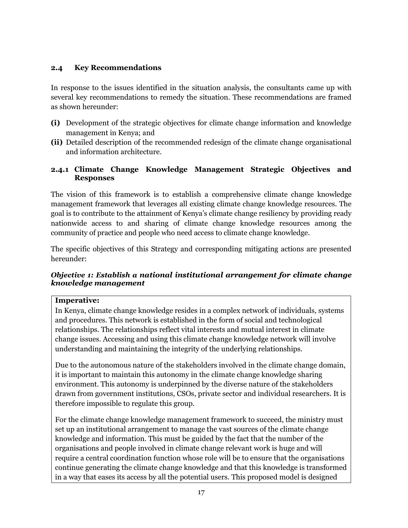#### **2.4 Key Recommendations**

In response to the issues identified in the situation analysis, the consultants came up with several key recommendations to remedy the situation. These recommendations are framed as shown hereunder:

- **(i)** Development of the strategic objectives for climate change information and knowledge management in Kenya; and
- **(ii)** Detailed description of the recommended redesign of the climate change organisational and information architecture.

## **2.4.1 Climate Change Knowledge Management Strategic Objectives and Responses**

The vision of this framework is to establish a comprehensive climate change knowledge management framework that leverages all existing climate change knowledge resources. The goal is to contribute to the attainment of Kenya's climate change resiliency by providing ready nationwide access to and sharing of climate change knowledge resources among the community of practice and people who need access to climate change knowledge.

The specific objectives of this Strategy and corresponding mitigating actions are presented hereunder:

## *Objective 1: Establish a national institutional arrangement for climate change knowledge management*

#### **Imperative:**

In Kenya, climate change knowledge resides in a complex network of individuals, systems and procedures. This network is established in the form of social and technological relationships. The relationships reflect vital interests and mutual interest in climate change issues. Accessing and using this climate change knowledge network will involve understanding and maintaining the integrity of the underlying relationships.

Due to the autonomous nature of the stakeholders involved in the climate change domain, it is important to maintain this autonomy in the climate change knowledge sharing environment. This autonomy is underpinned by the diverse nature of the stakeholders drawn from government institutions, CSOs, private sector and individual researchers. It is therefore impossible to regulate this group.

For the climate change knowledge management framework to succeed, the ministry must set up an institutional arrangement to manage the vast sources of the climate change knowledge and information. This must be guided by the fact that the number of the organisations and people involved in climate change relevant work is huge and will require a central coordination function whose role will be to ensure that the organisations continue generating the climate change knowledge and that this knowledge is transformed in a way that eases its access by all the potential users. This proposed model is designed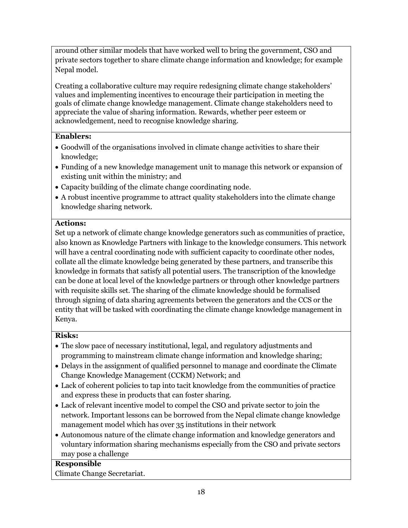around other similar models that have worked well to bring the government, CSO and private sectors together to share climate change information and knowledge; for example Nepal model.

Creating a collaborative culture may require redesigning climate change stakeholders' values and implementing incentives to encourage their participation in meeting the goals of climate change knowledge management. Climate change stakeholders need to appreciate the value of sharing information. Rewards, whether peer esteem or acknowledgement, need to recognise knowledge sharing.

## **Enablers:**

- Goodwill of the organisations involved in climate change activities to share their knowledge;
- Funding of a new knowledge management unit to manage this network or expansion of existing unit within the ministry; and
- Capacity building of the climate change coordinating node.
- A robust incentive programme to attract quality stakeholders into the climate change knowledge sharing network.

## **Actions:**

Set up a network of climate change knowledge generators such as communities of practice, also known as Knowledge Partners with linkage to the knowledge consumers. This network will have a central coordinating node with sufficient capacity to coordinate other nodes, collate all the climate knowledge being generated by these partners, and transcribe this knowledge in formats that satisfy all potential users. The transcription of the knowledge can be done at local level of the knowledge partners or through other knowledge partners with requisite skills set. The sharing of the climate knowledge should be formalised through signing of data sharing agreements between the generators and the CCS or the entity that will be tasked with coordinating the climate change knowledge management in Kenya.

## **Risks:**

- The slow pace of necessary institutional, legal, and regulatory adjustments and programming to mainstream climate change information and knowledge sharing;
- Delays in the assignment of qualified personnel to manage and coordinate the Climate Change Knowledge Management (CCKM) Network; and
- Lack of coherent policies to tap into tacit knowledge from the communities of practice and express these in products that can foster sharing.
- Lack of relevant incentive model to compel the CSO and private sector to join the network. Important lessons can be borrowed from the Nepal climate change knowledge management model which has over 35 institutions in their network
- Autonomous nature of the climate change information and knowledge generators and voluntary information sharing mechanisms especially from the CSO and private sectors may pose a challenge

#### **Responsible** Climate Change Secretariat.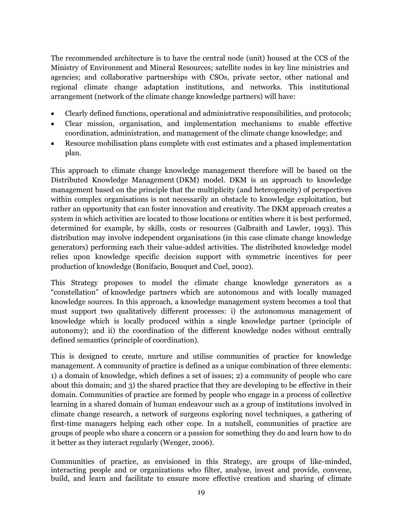The recommended architecture is to have the central node (unit) housed at the CCS of the Ministry of Environment and Mineral Resources; satellite nodes in key line ministries and agencies; and collaborative partnerships with CSOs, private sector, other national and regional climate change adaptation institutions, and networks. This institutional arrangement (network of the climate change knowledge partners) will have:

- Clearly defined functions, operational and administrative responsibilities, and protocols;
- Clear mission, organisation, and implementation mechanisms to enable effective coordination, administration, and management of the climate change knowledge; and
- Resource mobilisation plans complete with cost estimates and a phased implementation plan.

This approach to climate change knowledge management therefore will be based on the Distributed Knowledge Management (DKM) model. DKM is an approach to knowledge management based on the principle that the multiplicity (and heterogeneity) of perspectives within complex organisations is not necessarily an obstacle to knowledge exploitation, but rather an opportunity that can foster innovation and creativity. The DKM approach creates a system in which activities are located to those locations or entities where it is best performed, determined for example, by skills, costs or resources (Galbraith and Lawler, 1993). This distribution may involve independent organisations (in this case climate change knowledge generators) performing each their value-added activities. The distributed knowledge model relies upon knowledge specific decision support with symmetric incentives for peer production of knowledge (Bonifacio, Bouquet and Cuel, 2002).

This Strategy proposes to model the climate change knowledge generators as a "constellation" of knowledge partners which are autonomous and with locally managed knowledge sources. In this approach, a knowledge management system becomes a tool that must support two qualitatively different processes: i) the autonomous management of knowledge which is locally produced within a single knowledge partner (principle of autonomy); and ii) the coordination of the different knowledge nodes without centrally defined semantics (principle of coordination).

This is designed to create, nurture and utilise communities of practice for knowledge management. A community of practice is defined as a unique combination of three elements: 1) a domain of knowledge, which defines a set of issues; 2) a community of people who care about this domain; and 3) the shared practice that they are developing to be effective in their domain. Communities of practice are formed by people who engage in a process of collective learning in a shared domain of human endeavour such as a group of institutions involved in climate change research, a network of surgeons exploring novel techniques, a gathering of first-time managers helping each other cope. In a nutshell, communities of practice are groups of people who share a concern or a passion for something they do and learn how to do it better as they interact regularly (Wenger, 2006).

Communities of practice, as envisioned in this Strategy, are groups of like-minded, interacting people and or organizations who filter, analyse, invest and provide, convene, build, and learn and facilitate to ensure more effective creation and sharing of climate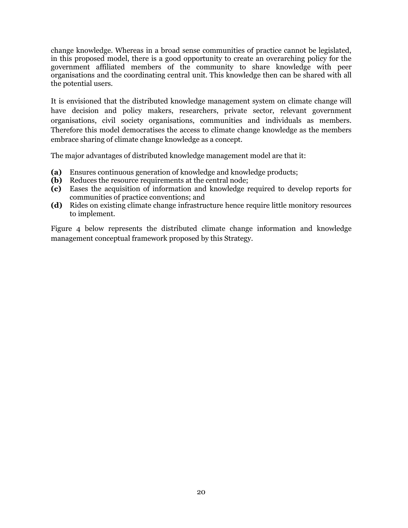change knowledge. Whereas in a broad sense communities of practice cannot be legislated, in this proposed model, there is a good opportunity to create an overarching policy for the government affiliated members of the community to share knowledge with peer organisations and the coordinating central unit. This knowledge then can be shared with all the potential users.

It is envisioned that the distributed knowledge management system on climate change will have decision and policy makers, researchers, private sector, relevant government organisations, civil society organisations, communities and individuals as members. Therefore this model democratises the access to climate change knowledge as the members embrace sharing of climate change knowledge as a concept.

The major advantages of distributed knowledge management model are that it:

- **(a)** Ensures continuous generation of knowledge and knowledge products;
- **(b)** Reduces the resource requirements at the central node;
- **(c)** Eases the acquisition of information and knowledge required to develop reports for communities of practice conventions; and
- **(d)** Rides on existing climate change infrastructure hence require little monitory resources to implement.

Figure 4 below represents the distributed climate change information and knowledge management conceptual framework proposed by this Strategy.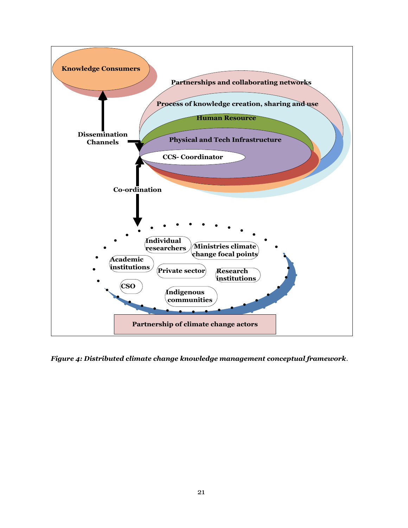

*Figure 4: Distributed climate change knowledge management conceptual framework.*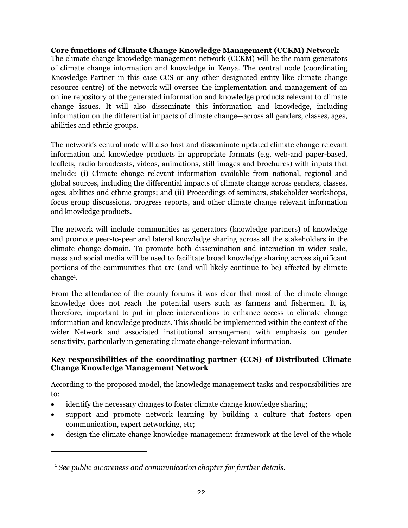#### **Core functions of Climate Change Knowledge Management (CCKM) Network**

The climate change knowledge management network (CCKM) will be the main generators of climate change information and knowledge in Kenya. The central node (coordinating Knowledge Partner in this case CCS or any other designated entity like climate change resource centre) of the network will oversee the implementation and management of an online repository of the generated information and knowledge products relevant to climate change issues. It will also disseminate this information and knowledge, including information on the differential impacts of climate change—across all genders, classes, ages, abilities and ethnic groups.

The network's central node will also host and disseminate updated climate change relevant information and knowledge products in appropriate formats (e.g. web-and paper-based, leaflets, radio broadcasts, videos, animations, still images and brochures) with inputs that include: (i) Climate change relevant information available from national, regional and global sources, including the differential impacts of climate change across genders, classes, ages, abilities and ethnic groups; and (ii) Proceedings of seminars, stakeholder workshops, focus group discussions, progress reports, and other climate change relevant information and knowledge products.

The network will include communities as generators (knowledge partners) of knowledge and promote peer-to-peer and lateral knowledge sharing across all the stakeholders in the climate change domain. To promote both dissemination and interaction in wider scale, mass and social media will be used to facilitate broad knowledge sharing across significant portions of the communities that are (and will likely continue to be) affected by climate change<sup>1</sup> .

From the attendance of the county forums it was clear that most of the climate change knowledge does not reach the potential users such as farmers and fishermen. It is, therefore, important to put in place interventions to enhance access to climate change information and knowledge products. This should be implemented within the context of the wider Network and associated institutional arrangement with emphasis on gender sensitivity, particularly in generating climate change-relevant information.

#### **Key responsibilities of the coordinating partner (CCS) of Distributed Climate Change Knowledge Management Network**

According to the proposed model, the knowledge management tasks and responsibilities are to:

- identify the necessary changes to foster climate change knowledge sharing;
- support and promote network learning by building a culture that fosters open communication, expert networking, etc;
- design the climate change knowledge management framework at the level of the whole

 $\ddot{\phantom{a}}$ 

<sup>1</sup> *See public awareness and communication chapter for further details.*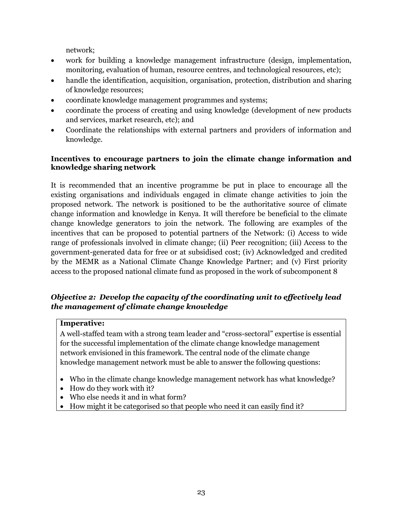network;

- work for building a knowledge management infrastructure (design, implementation, monitoring, evaluation of human, resource centres, and technological resources, etc);
- handle the identification, acquisition, organisation, protection, distribution and sharing of knowledge resources;
- coordinate knowledge management programmes and systems;
- coordinate the process of creating and using knowledge (development of new products and services, market research, etc); and
- Coordinate the relationships with external partners and providers of information and knowledge.

#### **Incentives to encourage partners to join the climate change information and knowledge sharing network**

It is recommended that an incentive programme be put in place to encourage all the existing organisations and individuals engaged in climate change activities to join the proposed network. The network is positioned to be the authoritative source of climate change information and knowledge in Kenya. It will therefore be beneficial to the climate change knowledge generators to join the network. The following are examples of the incentives that can be proposed to potential partners of the Network: (i) Access to wide range of professionals involved in climate change; (ii) Peer recognition; (iii) Access to the government-generated data for free or at subsidised cost; (iv) Acknowledged and credited by the MEMR as a National Climate Change Knowledge Partner; and (v) First priority access to the proposed national climate fund as proposed in the work of subcomponent 8

## *Objective 2: Develop the capacity of the coordinating unit to effectively lead the management of climate change knowledge*

#### **Imperative:**

A well-staffed team with a strong team leader and "cross-sectoral" expertise is essential for the successful implementation of the climate change knowledge management network envisioned in this framework. The central node of the climate change knowledge management network must be able to answer the following questions:

- Who in the climate change knowledge management network has what knowledge?
- How do they work with it?
- Who else needs it and in what form?
- How might it be categorised so that people who need it can easily find it?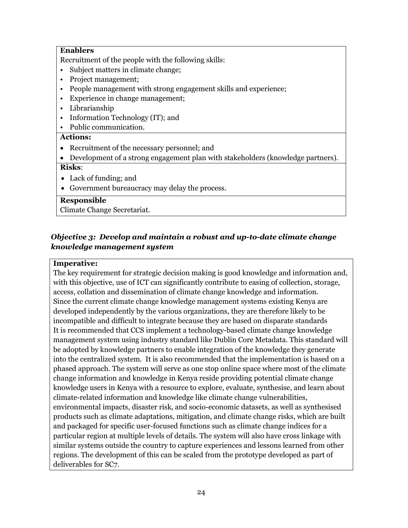#### **Enablers**

Recruitment of the people with the following skills:

- Subject matters in climate change;
- Project management;
- People management with strong engagement skills and experience;
- Experience in change management;
- Librarianship
- Information Technology (IT); and
- Public communication.

#### **Actions:**

- Recruitment of the necessary personnel; and
- Development of a strong engagement plan with stakeholders (knowledge partners).

#### **Risks**:

- Lack of funding; and
- Government bureaucracy may delay the process.

#### **Responsible**

Climate Change Secretariat.

## *Objective 3: Develop and maintain a robust and up-to-date climate change knowledge management system*

#### **Imperative:**

The key requirement for strategic decision making is good knowledge and information and, with this objective, use of ICT can significantly contribute to easing of collection, storage, access, collation and dissemination of climate change knowledge and information. Since the current climate change knowledge management systems existing Kenya are developed independently by the various organizations, they are therefore likely to be incompatible and difficult to integrate because they are based on disparate standards It is recommended that CCS implement a technology-based climate change knowledge management system using industry standard like Dublin Core Metadata. This standard will be adopted by knowledge partners to enable integration of the knowledge they generate into the centralized system. It is also recommended that the implementation is based on a phased approach. The system will serve as one stop online space where most of the climate change information and knowledge in Kenya reside providing potential climate change knowledge users in Kenya with a resource to explore, evaluate, synthesise, and learn about climate-related information and knowledge like climate change vulnerabilities, environmental impacts, disaster risk, and socio-economic datasets, as well as synthesised products such as climate adaptations, mitigation, and climate change risks, which are built and packaged for specific user-focused functions such as climate change indices for a particular region at multiple levels of details. The system will also have cross linkage with similar systems outside the country to capture experiences and lessons learned from other regions. The development of this can be scaled from the prototype developed as part of deliverables for SC7.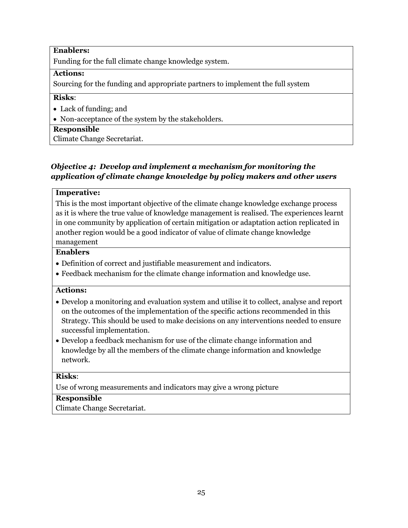## **Enablers:**

Funding for the full climate change knowledge system.

#### **Actions:**

Sourcing for the funding and appropriate partners to implement the full system

#### **Risks**:

- Lack of funding; and
- Non-acceptance of the system by the stakeholders.

#### **Responsible**

Climate Change Secretariat.

## *Objective 4: Develop and implement a mechanism for monitoring the application of climate change knowledge by policy makers and other users*

#### **Imperative:**

This is the most important objective of the climate change knowledge exchange process as it is where the true value of knowledge management is realised. The experiences learnt in one community by application of certain mitigation or adaptation action replicated in another region would be a good indicator of value of climate change knowledge management

#### **Enablers**

- Definition of correct and justifiable measurement and indicators.
- Feedback mechanism for the climate change information and knowledge use.

#### **Actions:**

- Develop a monitoring and evaluation system and utilise it to collect, analyse and report on the outcomes of the implementation of the specific actions recommended in this Strategy. This should be used to make decisions on any interventions needed to ensure successful implementation.
- Develop a feedback mechanism for use of the climate change information and knowledge by all the members of the climate change information and knowledge network.

#### **Risks**:

Use of wrong measurements and indicators may give a wrong picture

## **Responsible**

Climate Change Secretariat.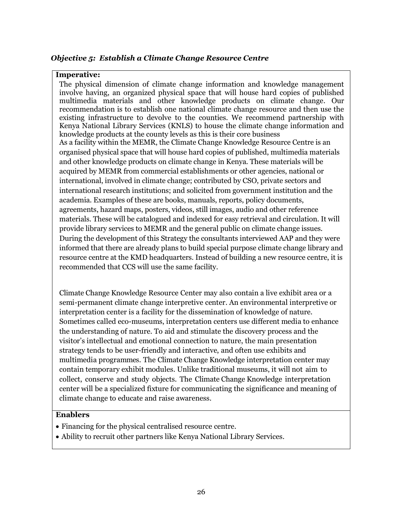### *Objective 5: Establish a Climate Change Resource Centre*

#### **Imperative:**

The physical dimension of climate change information and knowledge management involve having, an organized physical space that will house hard copies of published multimedia materials and other knowledge products on climate change. Our recommendation is to establish one national climate change resource and then use the existing infrastructure to devolve to the counties. We recommend partnership with Kenya National Library Services (KNLS) to house the climate change information and knowledge products at the county levels as this is their core business As a facility within the MEMR, the Climate Change Knowledge Resource Centre is an organised physical space that will house hard copies of published, multimedia materials and other knowledge products on climate change in Kenya. These materials will be acquired by MEMR from commercial establishments or other agencies, national or international, involved in climate change; contributed by CSO, private sectors and international research institutions; and solicited from government institution and the academia. Examples of these are books, manuals, reports, policy documents, agreements, hazard maps, posters, videos, still images, audio and other reference materials. These will be catalogued and indexed for easy retrieval and circulation. It will provide library services to MEMR and the general public on climate change issues. During the development of this Strategy the consultants interviewed AAP and they were informed that there are already plans to build special purpose climate change library and resource centre at the KMD headquarters. Instead of building a new resource centre, it is recommended that CCS will use the same facility.

Climate Change Knowledge Resource Center may also contain a live exhibit area or a semi-permanent climate change interpretive center. An environmental interpretive or interpretation center is a facility for the dissemination of knowledge of nature. Sometimes called eco-museums, interpretation centers use different media to enhance the understanding of nature. To aid and stimulate the discovery process and the visitor's intellectual and emotional connection to nature, the main presentation strategy tends to be user-friendly and interactive, and often use exhibits and multimedia programmes. The Climate Change Knowledge interpretation center may contain temporary exhibit modules. Unlike traditional museums, it will not aim to collect, conserve and study objects. The Climate Change Knowledge interpretation center will be a specialized fixture for communicating the significance and meaning of climate change to educate and raise awareness.

#### **Enablers**

- Financing for the physical centralised resource centre.
- Ability to recruit other partners like Kenya National Library Services.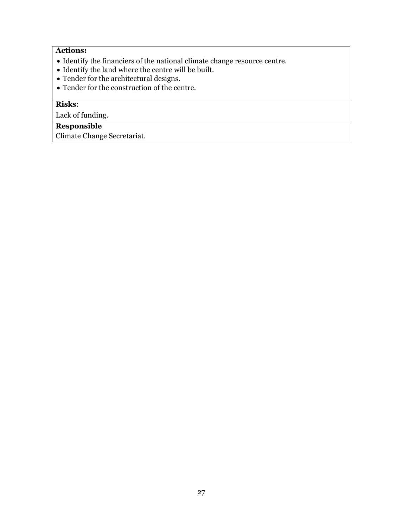## **Actions:**

- $\bullet$  Identify the financiers of the national climate change resource centre.
- $\bullet$  Identify the land where the centre will be built.
- Tender for the architectural designs.
- Tender for the construction of the centre.

## **Risks**:

Lack of funding.

# **Responsible**

Climate Change Secretariat.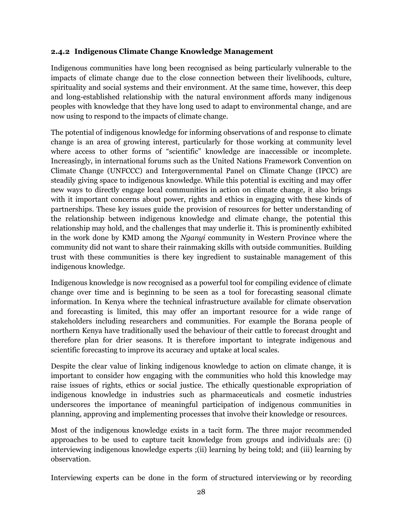#### **2.4.2 Indigenous Climate Change Knowledge Management**

Indigenous communities have long been recognised as being particularly vulnerable to the impacts of climate change due to the close connection between their livelihoods, culture, spirituality and social systems and their environment. At the same time, however, this deep and long-established relationship with the natural environment affords many indigenous peoples with knowledge that they have long used to adapt to environmental change, and are now using to respond to the impacts of climate change.

The potential of indigenous knowledge for informing observations of and response to climate change is an area of growing interest, particularly for those working at community level where access to other forms of "scientific" knowledge are inaccessible or incomplete. Increasingly, in international forums such as the United Nations Framework Convention on Climate Change (UNFCCC) and Intergovernmental Panel on Climate Change [\(IPCC\)](http://www.ipcc.ch/) are steadily giving space to indigenous knowledge. While this potential is exciting and may offer new ways to directly engage local communities in action on climate change, it also brings with it important concerns about power, rights and ethics in engaging with these kinds of partnerships. These key issues guide the provision of resources for better understanding of the relationship between indigenous knowledge and climate change, the potential this relationship may hold, and the challenges that may underlie it. This is prominently exhibited in the work done by KMD among the *Nganyi* community in Western Province where the community did not want to share their rainmaking skills with outside communities. Building trust with these communities is there key ingredient to sustainable management of this indigenous knowledge.

Indigenous knowledge is now recognised as a powerful tool for compiling evidence of climate change over time and is beginning to be seen as a tool for forecasting seasonal climate information. In Kenya where the technical infrastructure available for climate observation and forecasting is limited, this may offer an important resource for a wide range of stakeholders including researchers and communities. For example the Borana people of northern Kenya have traditionally used the behaviour of their cattle to forecast drought and therefore plan for drier seasons. It is therefore important to integrate indigenous and scientific forecasting to improve its accuracy and uptake at local scales.

Despite the clear value of linking indigenous knowledge to action on climate change, it is important to consider how engaging with the communities who hold this knowledge may raise issues of rights, ethics or social justice. The ethically questionable expropriation of indigenous knowledge in industries such as pharmaceuticals and cosmetic industries underscores the importance of meaningful participation of indigenous communities in planning, approving and implementing processes that involve their knowledge or resources.

Most of the indigenous knowledge exists in a tacit form. The three major recommended approaches to be used to capture tacit knowledge from groups and individuals are: (i) interviewing indigenous knowledge experts ;(ii) learning by being told; and (iii) learning by observation.

Interviewing experts can be done in the form of structured interviewing or by recording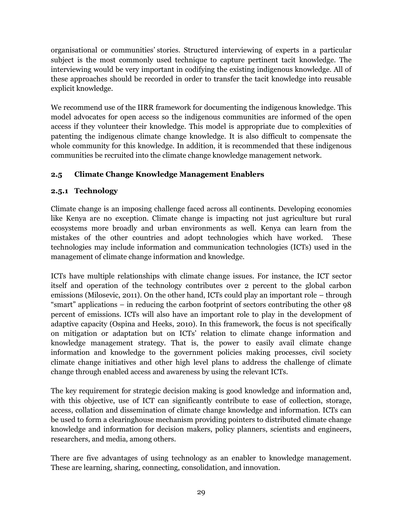organisational or communities' [stories.](http://en.wikipedia.org/wiki/Narrative) Structured interviewing of experts in a particular subject is the most commonly used technique to capture pertinent tacit knowledge. The interviewing would be very important in codifying the existing indigenous knowledge. All of these approaches should be recorded in order to transfer the tacit knowledge into reusable explicit knowledge.

We recommend use of the IIRR framework for documenting the indigenous knowledge. This model advocates for open access so the indigenous communities are informed of the open access if they volunteer their knowledge. This model is appropriate due to complexities of patenting the indigenous climate change knowledge. It is also difficult to compensate the whole community for this knowledge. In addition, it is recommended that these indigenous communities be recruited into the climate change knowledge management network.

## **2.5 Climate Change Knowledge Management Enablers**

## **2.5.1 Technology**

Climate change is an imposing challenge faced across all continents. Developing economies like Kenya are no exception. Climate change is impacting not just agriculture but rural ecosystems more broadly and urban environments as well. Kenya can learn from the mistakes of the other countries and adopt technologies which have worked. These technologies may include information and communication technologies (ICTs) used in the management of climate change information and knowledge.

ICTs have multiple relationships with climate change issues. For instance, the ICT sector itself and operation of the technology contributes over 2 percent to the global carbon emissions (Milosevic, 2011). On the other hand, ICTs could play an important role – through "smart" applications – in reducing the carbon footprint of sectors contributing the other 98 percent of emissions. ICTs will also have an important role to play in the development of adaptive capacity (Ospina and Heeks, 2010). In this framework, the focus is not specifically on mitigation or adaptation but on ICTs' relation to climate change information and knowledge management strategy. That is, the power to easily avail climate change information and knowledge to the government policies making processes, civil society climate change initiatives and other high level plans to address the challenge of climate change through enabled access and awareness by using the relevant ICTs.

The key requirement for strategic decision making is good knowledge and information and, with this objective, use of ICT can significantly contribute to ease of collection, storage, access, collation and dissemination of climate change knowledge and information. ICTs can be used to form a clearinghouse mechanism providing pointers to distributed climate change knowledge and information for decision makers, policy planners, scientists and engineers, researchers, and media, among others.

There are five advantages of using technology as an enabler to knowledge management. These are learning, sharing, connecting, consolidation, and innovation.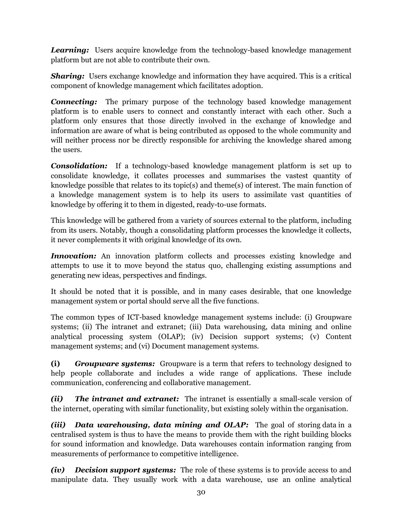*Learning:* Users acquire knowledge from the technology-based knowledge management platform but are not able to contribute their own.

**Sharing:** Users exchange knowledge and information they have acquired. This is a critical component of knowledge management which facilitates adoption.

**Connecting:** The primary purpose of the technology based knowledge management platform is to enable users to connect and constantly interact with each other. Such a platform only ensures that those directly involved in the exchange of knowledge and information are aware of what is being contributed as opposed to the whole community and will neither process nor be directly responsible for archiving the knowledge shared among the users.

**Consolidation:** If a technology-based knowledge management platform is set up to consolidate knowledge, it collates processes and summarises the vastest quantity of knowledge possible that relates to its topic(s) and theme(s) of interest. The main function of a knowledge management system is to help its users to assimilate vast quantities of knowledge by offering it to them in digested, ready-to-use formats.

This knowledge will be gathered from a variety of sources external to the platform, including from its users. Notably, though a consolidating platform processes the knowledge it collects, it never complements it with original knowledge of its own.

**Innovation:** An innovation platform collects and processes existing knowledge and attempts to use it to move beyond the status quo, challenging existing assumptions and generating new ideas, perspectives and findings.

It should be noted that it is possible, and in many cases desirable, that one knowledge management system or portal should serve all the five functions.

The common types of ICT-based knowledge management systems include: (i) Groupware systems; (ii) The intranet and extranet; (iii) Data warehousing, data mining and online analytical processing system (OLAP); (iv) Decision support systems; (v) Content management systems; and (vi) Document management systems.

**(i)** *Groupware systems:* Groupware is a term that refers to technology designed to help people collaborate and includes a wide range of applications. These include communication, conferencing and collaborative management.

*(ii) The intranet and extranet:* The intranet is essentially a small-scale version of the internet, operating with similar functionality, but existing solely within the organisation.

*(iii) Data warehousing, data mining and OLAP:* The goal of storing data in a centralised system is thus to have the means to provide them with the right building blocks for sound information and knowledge. Data warehouses contain information ranging from measurements of performance to competitive intelligence.

*(iv) Decision support systems:* The role of these systems is to provide access to and manipulate data. They usually work with a data warehouse, use an online analytical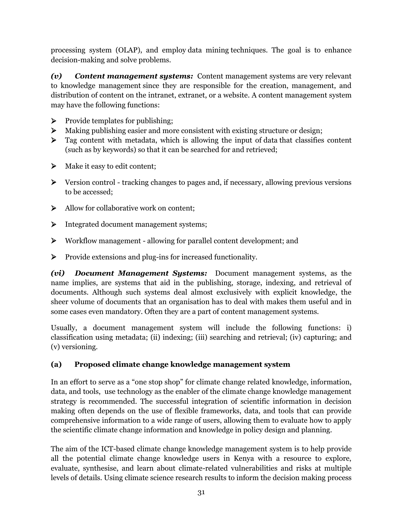processing system (OLAP), and employ data mining techniques. The goal is to enhance decision-making and solve problems.

*(v) Content management systems:* Content management systems are very relevant to knowledge management since they are responsible for the creation, management, and distribution of content on the intranet, extranet, or a website. A content management system may have the following functions:

- $\triangleright$  Provide templates for publishing;
- $\triangleright$  Making publishing easier and more consistent with existing structure or design;
- $\triangleright$  Tag content with metadata, which is allowing the input of data that classifies content (such as by keywords) so that it can be searched for and retrieved;
- $\triangleright$  Make it easy to edit content;
- Version control tracking changes to pages and, if necessary, allowing previous versions to be accessed;
- Allow for collaborative work on content;
- Integrated document management systems;
- Workflow management allowing for parallel content development; and
- $\triangleright$  Provide extensions and plug-ins for increased functionality.

*(vi) Document Management Systems:* Document management systems, as the name implies, are systems that aid in the publishing, storage, indexing, and retrieval of documents. Although such systems deal almost exclusively with explicit knowledge, the sheer volume of documents that an organisation has to deal with makes them useful and in some cases even mandatory. Often they are a part of content management systems.

Usually, a document management system will include the following functions: i) classification using metadata; (ii) indexing; (iii) searching and retrieval; (iv) capturing; and (v) versioning.

#### **(a) Proposed climate change knowledge management system**

In an effort to serve as a "one stop shop" for climate change related knowledge, information, data, and tools, use technology as the enabler of the climate change knowledge management strategy is recommended. The successful integration of scientific information in decision making often depends on the use of flexible frameworks, data, and tools that can provide comprehensive information to a wide range of users, allowing them to evaluate how to apply the scientific climate change information and knowledge in policy design and planning.

The aim of the ICT-based climate change knowledge management system is to help provide all the potential climate change knowledge users in Kenya with a resource to explore, evaluate, synthesise, and learn about climate-related vulnerabilities and risks at multiple levels of details. Using climate science research results to inform the decision making process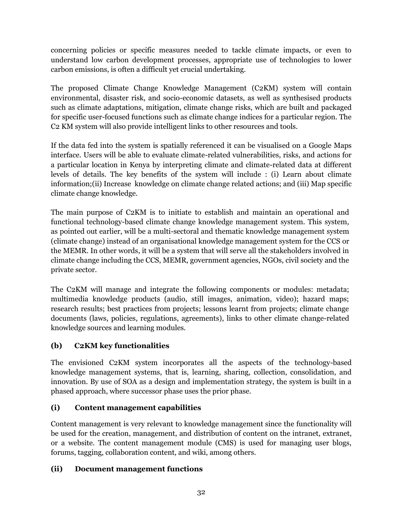concerning policies or specific measures needed to tackle climate impacts, or even to understand low carbon development processes, appropriate use of technologies to lower carbon emissions, is often a difficult yet crucial undertaking.

The proposed Climate Change Knowledge Management (C2KM) system will contain environmental, disaster risk, and socio-economic datasets, as well as synthesised products such as climate adaptations, mitigation, climate change risks, which are built and packaged for specific user-focused functions such as climate change indices for a particular region. The C2 KM system will also provide intelligent links to other resources and tools.

If the data fed into the system is spatially referenced it can be visualised on a Google Maps interface. Users will be able to evaluate climate-related vulnerabilities, risks, and actions for a particular location in Kenya by interpreting climate and climate-related data at different levels of details. The key benefits of the system will include : (i) Learn about climate information;(ii) Increase knowledge on climate change related actions; and (iii) Map specific climate change knowledge.

The main purpose of C2KM is to initiate to establish and maintain an operational and functional technology-based climate change knowledge management system. This system, as pointed out earlier, will be a multi-sectoral and thematic knowledge management system (climate change) instead of an organisational knowledge management system for the CCS or the MEMR. In other words, it will be a system that will serve all the stakeholders involved in climate change including the CCS, MEMR, government agencies, NGOs, civil society and the private sector.

The C2KM will manage and integrate the following components or modules: metadata; multimedia knowledge products (audio, still images, animation, video); hazard maps; research results; best practices from projects; lessons learnt from projects; climate change documents (laws, policies, regulations, agreements), links to other climate change-related knowledge sources and learning modules.

## **(b) C2KM key functionalities**

The envisioned C2KM system incorporates all the aspects of the technology-based knowledge management systems, that is, learning, sharing, collection, consolidation, and innovation. By use of SOA as a design and implementation strategy, the system is built in a phased approach, where successor phase uses the prior phase.

#### **(i) Content management capabilities**

Content management is very relevant to knowledge management since the functionality will be used for the creation, management, and distribution of content on the intranet, extranet, or a website. The content management module (CMS) is used for managing user blogs, forums, tagging, collaboration content, and wiki, among others.

#### **(ii) Document management functions**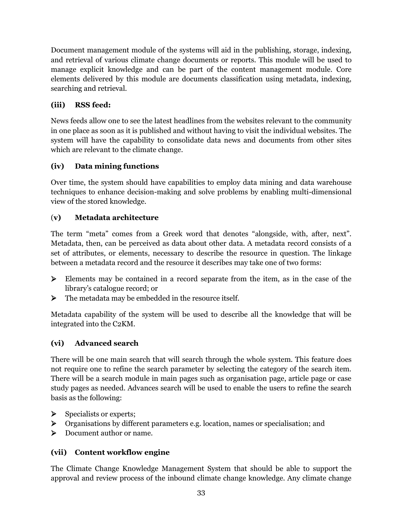Document management module of the systems will aid in the publishing, storage, indexing, and retrieval of various climate change documents or reports. This module will be used to manage explicit knowledge and can be part of the content management module. Core elements delivered by this module are documents classification using metadata, indexing, searching and retrieval.

## **(iii) RSS feed:**

News feeds allow one to see the latest headlines from the websites relevant to the community in one place as soon as it is published and without having to visit the individual websites. The system will have the capability to consolidate data news and documents from other sites which are relevant to the climate change.

## **(iv) Data mining functions**

Over time, the system should have capabilities to employ data mining and data warehouse techniques to enhance decision-making and solve problems by enabling multi-dimensional view of the stored knowledge.

## (**v) Metadata architecture**

The term "meta" comes from a Greek word that denotes "alongside, with, after, next". Metadata, then, can be perceived as data about other data. A metadata record consists of a set of attributes, or elements, necessary to describe the resource in question. The linkage between a metadata record and the resource it describes may take one of two forms:

- $\triangleright$  Elements may be contained in a record separate from the item, as in the case of the library's catalogue record; or
- $\triangleright$  The metadata may be embedded in the resource itself.

Metadata capability of the system will be used to describe all the knowledge that will be integrated into the C2KM.

## **(vi) Advanced search**

There will be one main search that will search through the whole system. This feature does not require one to refine the search parameter by selecting the category of the search item. There will be a search module in main pages such as organisation page, article page or case study pages as needed. Advances search will be used to enable the users to refine the search basis as the following:

- $\triangleright$  Specialists or experts;
- Organisations by different parameters e.g. location, names or specialisation; and
- Document author or name.

## **(vii) Content workflow engine**

The Climate Change Knowledge Management System that should be able to support the approval and review process of the inbound climate change knowledge. Any climate change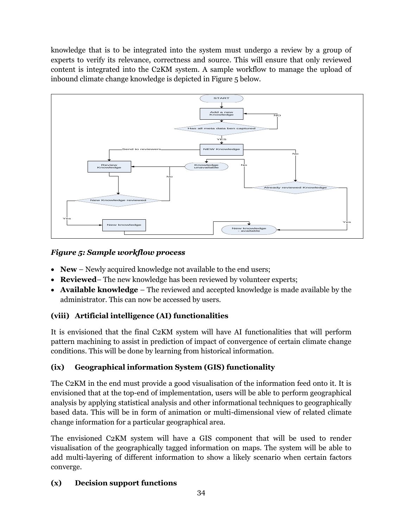knowledge that is to be integrated into the system must undergo a review by a group of experts to verify its relevance, correctness and source. This will ensure that only reviewed content is integrated into the C2KM system. A sample workflow to manage the upload of inbound climate change knowledge is depicted in Figure 5 below.



## *Figure 5: Sample workflow process*

- **New** Newly acquired knowledge not available to the end users;
- **Reviewed** The new knowledge has been reviewed by volunteer experts;
- **Available knowledge** The reviewed and accepted knowledge is made available by the administrator. This can now be accessed by users.

## **(viii) Artificial intelligence (AI) functionalities**

It is envisioned that the final C2KM system will have AI functionalities that will perform pattern machining to assist in prediction of impact of convergence of certain climate change conditions. This will be done by learning from historical information.

## **(ix) Geographical information System (GIS) functionality**

The C2KM in the end must provide a good visualisation of the information feed onto it. It is envisioned that at the top-end of implementation, users will be able to perform geographical analysis by applying statistical analysis and other informational techniques to geographically based data. This will be in form of animation or multi-dimensional view of related climate change information for a particular geographical area.

The envisioned C2KM system will have a GIS component that will be used to render visualisation of the geographically tagged information on maps. The system will be able to add multi-layering of different information to show a likely scenario when certain factors converge.

## **(x) Decision support functions**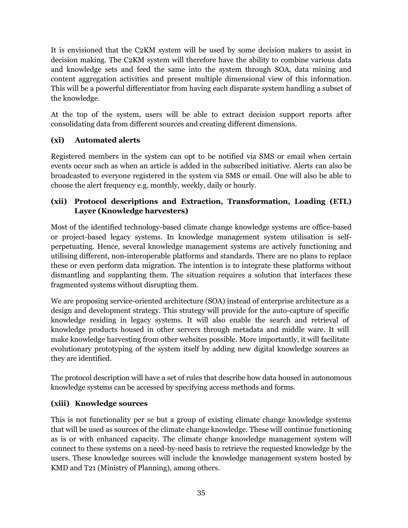It is envisioned that the C2KM system will be used by some decision makers to assist in decision making. The C2KM system will therefore have the ability to combine various data and knowledge sets and feed the same into the system through SOA, data mining and content aggregation activities and present multiple dimensional view of this information. This will be a powerful differentiator from having each disparate system handling a subset of the knowledge.

At the top of the system, users will be able to extract decision support reports after consolidating data from different sources and creating different dimensions.

## **(xi) Automated alerts**

Registered members in the system can opt to be notified via SMS or email when certain events occur such as when an article is added in the subscribed initiative. Alerts can also be broadcasted to everyone registered in the system via SMS or email. One will also be able to choose the alert frequency e.g. monthly, weekly, daily or hourly.

## **(xii) Protocol descriptions and Extraction, Transformation, Loading (ETL) Layer (Knowledge harvesters)**

Most of the identified technology-based climate change knowledge systems are office-based or project-based legacy systems. In knowledge management system utilisation is selfperpetuating. Hence, several knowledge management systems are actively functioning and utilising different, non-interoperable platforms and standards. There are no plans to replace these or even perform data migration. The intention is to integrate these platforms without dismantling and supplanting them. The situation requires a solution that interfaces these fragmented systems without disrupting them.

We are proposing service-oriented architecture (SOA) instead of enterprise architecture as a design and development strategy. This strategy will provide for the auto-capture of specific knowledge residing in legacy systems. It will also enable the search and retrieval of knowledge products housed in other servers through metadata and middle ware. It will make knowledge harvesting from other websites possible. More importantly, it will facilitate evolutionary prototyping of the system itself by adding new digital knowledge sources as they are identified.

The protocol description will have a set of rules that describe how data housed in autonomous knowledge systems can be accessed by specifying access methods and forms.

#### **(xiii) Knowledge sources**

This is not functionality per se but a group of existing climate change knowledge systems that will be used as sources of the climate change knowledge. These will continue functioning as is or with enhanced capacity. The climate change knowledge management system will connect to these systems on a need-by-need basis to retrieve the requested knowledge by the users. These knowledge sources will include the knowledge management system hosted by KMD and T21 (Ministry of Planning), among others.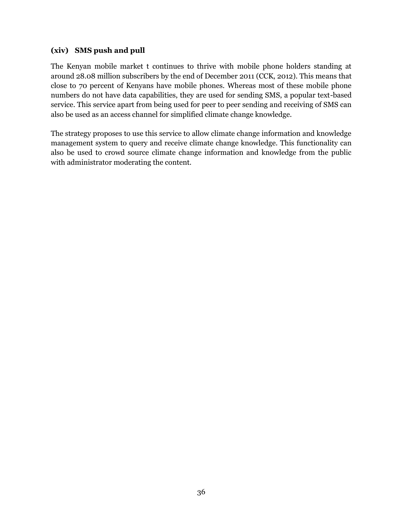## **(xiv) SMS push and pull**

The Kenyan mobile market t continues to thrive with mobile phone holders standing at around 28.08 million subscribers by the end of December 2011 (CCK, 2012). This means that close to 70 percent of Kenyans have mobile phones. Whereas most of these mobile phone numbers do not have data capabilities, they are used for sending SMS, a popular text-based service. This service apart from being used for peer to peer sending and receiving of SMS can also be used as an access channel for simplified climate change knowledge.

The strategy proposes to use this service to allow climate change information and knowledge management system to query and receive climate change knowledge. This functionality can also be used to crowd source climate change information and knowledge from the public with administrator moderating the content.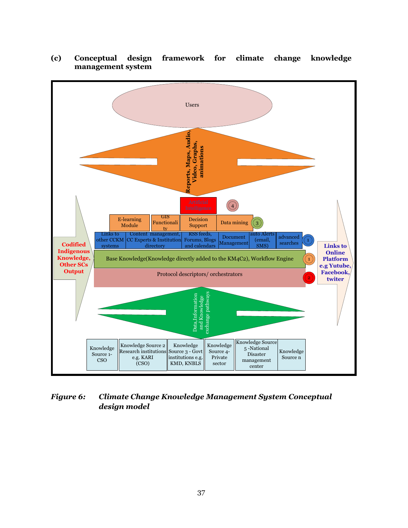

#### **(c) Conceptual design framework for climate change knowledge management system**

*Figure 6: Climate Change Knowledge Management System Conceptual design model*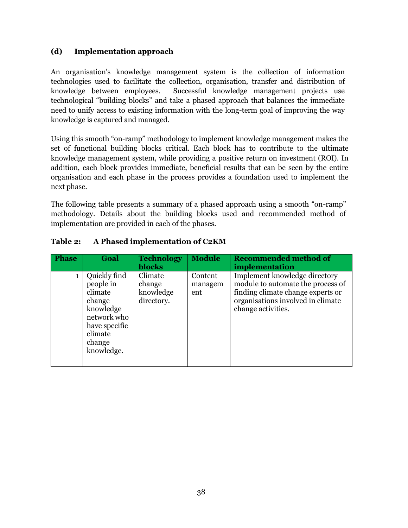#### **(d) Implementation approach**

An organisation's knowledge management system is the collection of information technologies used to facilitate the collection, organisation, transfer and distribution of knowledge between employees. Successful knowledge management projects use technological "building blocks" and take a phased approach that balances the immediate need to unify access to existing information with the long-term goal of improving the way knowledge is captured and managed.

Using this smooth "on-ramp" methodology to implement knowledge management makes the set of functional building blocks critical. Each block has to contribute to the ultimate knowledge management system, while providing a positive return on investment (ROI). In addition, each block provides immediate, beneficial results that can be seen by the entire organisation and each phase in the process provides a foundation used to implement the next phase.

The following table presents a summary of a phased approach using a smooth "on-ramp" methodology. Details about the building blocks used and recommended method of implementation are provided in each of the phases.

| <b>Phase</b> | Goal                                                                                                                           | <b>Technology</b><br>blocks                  | <b>Module</b>             | <b>Recommended method of</b><br>implementation                                                                                                                     |
|--------------|--------------------------------------------------------------------------------------------------------------------------------|----------------------------------------------|---------------------------|--------------------------------------------------------------------------------------------------------------------------------------------------------------------|
| $\mathbf{1}$ | Quickly find<br>people in<br>climate<br>change<br>knowledge<br>network who<br>have specific<br>climate<br>change<br>knowledge. | Climate<br>change<br>knowledge<br>directory. | Content<br>managem<br>ent | Implement knowledge directory<br>module to automate the process of<br>finding climate change experts or<br>organisations involved in climate<br>change activities. |

#### **Table 2: A Phased implementation of C2KM**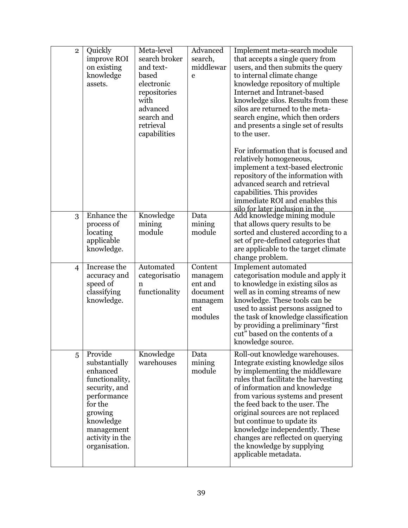| $\overline{2}$ | Quickly<br>improve ROI<br>on existing<br>knowledge<br>assets.                                                                                                               | Meta-level<br>search broker<br>and text-<br>based<br>electronic<br>repositories<br>with<br>advanced<br>search and<br>retrieval<br>capabilities | Advanced<br>search,<br>middlewar<br>e                                  | Implement meta-search module<br>that accepts a single query from<br>users, and then submits the query<br>to internal climate change<br>knowledge repository of multiple<br><b>Internet and Intranet-based</b><br>knowledge silos. Results from these<br>silos are returned to the meta-<br>search engine, which then orders<br>and presents a single set of results<br>to the user.                                                                  |
|----------------|-----------------------------------------------------------------------------------------------------------------------------------------------------------------------------|------------------------------------------------------------------------------------------------------------------------------------------------|------------------------------------------------------------------------|------------------------------------------------------------------------------------------------------------------------------------------------------------------------------------------------------------------------------------------------------------------------------------------------------------------------------------------------------------------------------------------------------------------------------------------------------|
|                |                                                                                                                                                                             |                                                                                                                                                |                                                                        | For information that is focused and<br>relatively homogeneous,<br>implement a text-based electronic<br>repository of the information with<br>advanced search and retrieval<br>capabilities. This provides<br>immediate ROI and enables this<br>silo for later inclusion in the                                                                                                                                                                       |
| 3              | Enhance the<br>process of<br>locating<br>applicable<br>knowledge.                                                                                                           | Knowledge<br>mining<br>module                                                                                                                  | Data<br>mining<br>module                                               | Add knowledge mining module<br>that allows query results to be<br>sorted and clustered according to a<br>set of pre-defined categories that<br>are applicable to the target climate<br>change problem.                                                                                                                                                                                                                                               |
| $\overline{4}$ | Increase the<br>accuracy and<br>speed of<br>classifying<br>knowledge.                                                                                                       | Automated<br>categorisatio<br>n<br>functionality                                                                                               | Content<br>managem<br>ent and<br>document<br>managem<br>ent<br>modules | Implement automated<br>categorisation module and apply it<br>to knowledge in existing silos as<br>well as in coming streams of new<br>knowledge. These tools can be<br>used to assist persons assigned to<br>the task of knowledge classification<br>by providing a preliminary "first"<br>cut" based on the contents of a<br>knowledge source.                                                                                                      |
| 5              | Provide<br>substantially<br>enhanced<br>functionality,<br>security, and<br>performance<br>for the<br>growing<br>knowledge<br>management<br>activity in the<br>organisation. | Knowledge<br>warehouses                                                                                                                        | Data<br>mining<br>module                                               | Roll-out knowledge warehouses.<br>Integrate existing knowledge silos<br>by implementing the middleware<br>rules that facilitate the harvesting<br>of information and knowledge<br>from various systems and present<br>the feed back to the user. The<br>original sources are not replaced<br>but continue to update its<br>knowledge independently. These<br>changes are reflected on querying<br>the knowledge by supplying<br>applicable metadata. |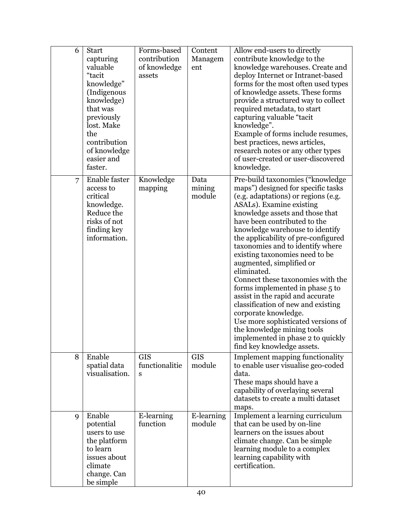| 6              | <b>Start</b><br>capturing<br>valuable<br>"tacit<br>knowledge"<br>(Indigenous<br>knowledge)<br>that was<br>previously<br>lost. Make<br>the<br>contribution<br>of knowledge<br>easier and<br>faster. | Forms-based<br>contribution<br>of knowledge<br>assets | Content<br>Managem<br>ent | Allow end-users to directly<br>contribute knowledge to the<br>knowledge warehouses. Create and<br>deploy Internet or Intranet-based<br>forms for the most often used types<br>of knowledge assets. These forms<br>provide a structured way to collect<br>required metadata, to start<br>capturing valuable "tacit"<br>knowledge".<br>Example of forms include resumes,<br>best practices, news articles,<br>research notes or any other types<br>of user-created or user-discovered<br>knowledge.                                                                                                                                                                                                                        |
|----------------|----------------------------------------------------------------------------------------------------------------------------------------------------------------------------------------------------|-------------------------------------------------------|---------------------------|--------------------------------------------------------------------------------------------------------------------------------------------------------------------------------------------------------------------------------------------------------------------------------------------------------------------------------------------------------------------------------------------------------------------------------------------------------------------------------------------------------------------------------------------------------------------------------------------------------------------------------------------------------------------------------------------------------------------------|
| $\overline{7}$ | Enable faster<br>access to<br>critical<br>knowledge.<br>Reduce the<br>risks of not<br>finding key<br>information.                                                                                  | Knowledge<br>mapping                                  | Data<br>mining<br>module  | Pre-build taxonomies ("knowledge<br>maps") designed for specific tasks<br>(e.g. adaptations) or regions (e.g.<br>ASALs). Examine existing<br>knowledge assets and those that<br>have been contributed to the<br>knowledge warehouse to identify<br>the applicability of pre-configured<br>taxonomies and to identify where<br>existing taxonomies need to be<br>augmented, simplified or<br>eliminated.<br>Connect these taxonomies with the<br>forms implemented in phase 5 to<br>assist in the rapid and accurate<br>classification of new and existing<br>corporate knowledge.<br>Use more sophisticated versions of<br>the knowledge mining tools<br>implemented in phase 2 to quickly<br>find key knowledge assets. |
| 8              | Enable<br>spatial data<br>visualisation.                                                                                                                                                           | <b>GIS</b><br>functionalitie<br>S                     | <b>GIS</b><br>module      | <b>Implement mapping functionality</b><br>to enable user visualise geo-coded<br>data.<br>These maps should have a<br>capability of overlaying several<br>datasets to create a multi dataset<br>maps.                                                                                                                                                                                                                                                                                                                                                                                                                                                                                                                     |
| 9              | Enable<br>potential<br>users to use<br>the platform<br>to learn<br>issues about<br>climate<br>change. Can<br>be simple                                                                             | E-learning<br>function                                | E-learning<br>module      | Implement a learning curriculum<br>that can be used by on-line<br>learners on the issues about<br>climate change. Can be simple<br>learning module to a complex<br>learning capability with<br>certification.                                                                                                                                                                                                                                                                                                                                                                                                                                                                                                            |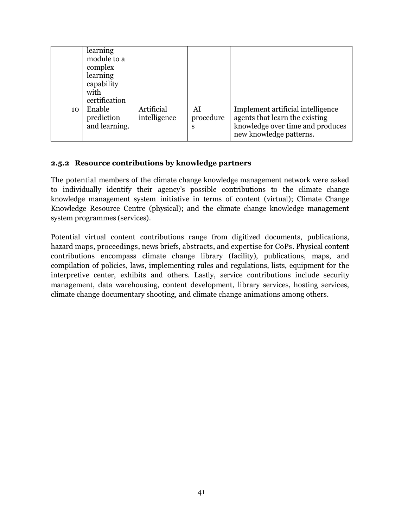|    | learning<br>module to a<br>complex<br>learning<br>capability<br>with<br>certification |                            |                      |                                                                                                                                    |
|----|---------------------------------------------------------------------------------------|----------------------------|----------------------|------------------------------------------------------------------------------------------------------------------------------------|
| 10 | Enable<br>prediction<br>and learning.                                                 | Artificial<br>intelligence | AI<br>procedure<br>S | Implement artificial intelligence<br>agents that learn the existing<br>knowledge over time and produces<br>new knowledge patterns. |

#### **2.5.2 Resource contributions by knowledge partners**

The potential members of the climate change knowledge management network were asked to individually identify their agency's possible contributions to the climate change knowledge management system initiative in terms of content (virtual); Climate Change Knowledge Resource Centre (physical); and the climate change knowledge management system programmes (services).

Potential virtual content contributions range from digitized documents, publications, hazard maps, proceedings, news briefs, abstracts, and expertise for CoPs. Physical content contributions encompass climate change library (facility), publications, maps, and compilation of policies, laws, implementing rules and regulations, lists, equipment for the interpretive center, exhibits and others. Lastly, service contributions include security management, data warehousing, content development, library services, hosting services, climate change documentary shooting, and climate change animations among others.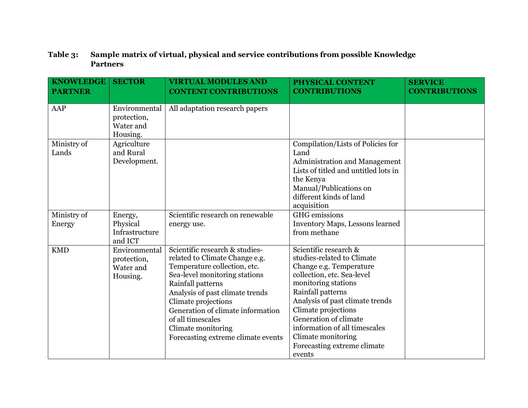## **Table 3: Sample matrix of virtual, physical and service contributions from possible Knowledge Partners**

| <b>KNOWLEDGE</b><br><b>PARTNER</b> | <b>SECTOR</b>                                         | <b>VIRTUAL MODULES AND</b><br><b>CONTENT CONTRIBUTIONS</b>                                                                                                                                                                                                                                                                             | PHYSICAL CONTENT<br><b>CONTRIBUTIONS</b>                                                                                                                                                                                                                                                                                                    | <b>SERVICE</b><br><b>CONTRIBUTIONS</b> |
|------------------------------------|-------------------------------------------------------|----------------------------------------------------------------------------------------------------------------------------------------------------------------------------------------------------------------------------------------------------------------------------------------------------------------------------------------|---------------------------------------------------------------------------------------------------------------------------------------------------------------------------------------------------------------------------------------------------------------------------------------------------------------------------------------------|----------------------------------------|
| AAP                                | Environmental<br>protection,<br>Water and<br>Housing. | All adaptation research papers                                                                                                                                                                                                                                                                                                         |                                                                                                                                                                                                                                                                                                                                             |                                        |
| Ministry of<br>Lands               | Agriculture<br>and Rural<br>Development.              |                                                                                                                                                                                                                                                                                                                                        | Compilation/Lists of Policies for<br>Land<br><b>Administration and Management</b><br>Lists of titled and untitled lots in<br>the Kenya<br>Manual/Publications on<br>different kinds of land<br>acquisition                                                                                                                                  |                                        |
| Ministry of<br>Energy              | Energy,<br>Physical<br>Infrastructure<br>and ICT      | Scientific research on renewable<br>energy use.                                                                                                                                                                                                                                                                                        | <b>GHG</b> emissions<br>Inventory Maps, Lessons learned<br>from methane                                                                                                                                                                                                                                                                     |                                        |
| <b>KMD</b>                         | Environmental<br>protection,<br>Water and<br>Housing. | Scientific research & studies-<br>related to Climate Change e.g.<br>Temperature collection, etc.<br>Sea-level monitoring stations<br>Rainfall patterns<br>Analysis of past climate trends<br>Climate projections<br>Generation of climate information<br>of all timescales<br>Climate monitoring<br>Forecasting extreme climate events | Scientific research &<br>studies-related to Climate<br>Change e.g. Temperature<br>collection, etc. Sea-level<br>monitoring stations<br>Rainfall patterns<br>Analysis of past climate trends<br>Climate projections<br>Generation of climate<br>information of all timescales<br>Climate monitoring<br>Forecasting extreme climate<br>events |                                        |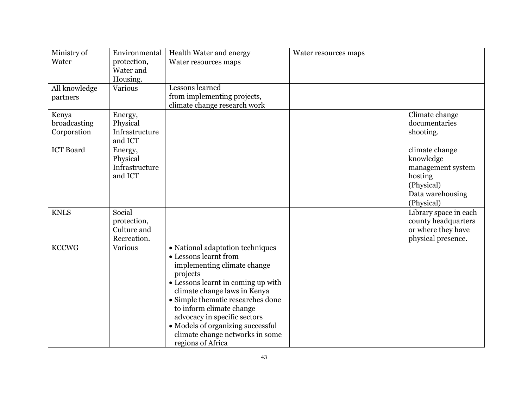| Ministry of      | Environmental  | Health Water and energy            | Water resources maps |                       |
|------------------|----------------|------------------------------------|----------------------|-----------------------|
| Water            | protection,    | Water resources maps               |                      |                       |
|                  | Water and      |                                    |                      |                       |
|                  | Housing.       |                                    |                      |                       |
| All knowledge    | <b>Various</b> | Lessons learned                    |                      |                       |
| partners         |                | from implementing projects,        |                      |                       |
|                  |                | climate change research work       |                      |                       |
| Kenya            | Energy,        |                                    |                      | Climate change        |
| broadcasting     | Physical       |                                    |                      | documentaries         |
| Corporation      | Infrastructure |                                    |                      | shooting.             |
|                  | and ICT        |                                    |                      |                       |
| <b>ICT Board</b> | Energy,        |                                    |                      | climate change        |
|                  | Physical       |                                    |                      | knowledge             |
|                  | Infrastructure |                                    |                      | management system     |
|                  | and ICT        |                                    |                      | hosting               |
|                  |                |                                    |                      | (Physical)            |
|                  |                |                                    |                      | Data warehousing      |
|                  |                |                                    |                      | (Physical)            |
| <b>KNLS</b>      | Social         |                                    |                      | Library space in each |
|                  | protection,    |                                    |                      | county headquarters   |
|                  | Culture and    |                                    |                      | or where they have    |
|                  | Recreation.    |                                    |                      | physical presence.    |
| <b>KCCWG</b>     | Various        | • National adaptation techniques   |                      |                       |
|                  |                | • Lessons learnt from              |                      |                       |
|                  |                | implementing climate change        |                      |                       |
|                  |                | projects                           |                      |                       |
|                  |                | • Lessons learnt in coming up with |                      |                       |
|                  |                | climate change laws in Kenya       |                      |                       |
|                  |                | • Simple thematic researches done  |                      |                       |
|                  |                | to inform climate change           |                      |                       |
|                  |                | advocacy in specific sectors       |                      |                       |
|                  |                | • Models of organizing successful  |                      |                       |
|                  |                | climate change networks in some    |                      |                       |
|                  |                | regions of Africa                  |                      |                       |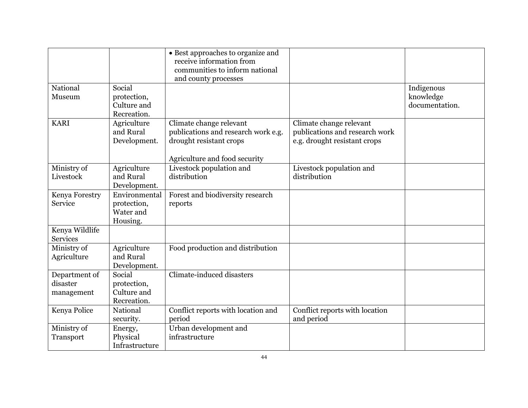|                                         |                                                       | • Best approaches to organize and<br>receive information from<br>communities to inform national<br>and county processes    |                                                                                           |                                           |
|-----------------------------------------|-------------------------------------------------------|----------------------------------------------------------------------------------------------------------------------------|-------------------------------------------------------------------------------------------|-------------------------------------------|
| National<br>Museum                      | Social<br>protection,<br>Culture and<br>Recreation.   |                                                                                                                            |                                                                                           | Indigenous<br>knowledge<br>documentation. |
| <b>KARI</b>                             | Agriculture<br>and Rural<br>Development.              | Climate change relevant<br>publications and research work e.g.<br>drought resistant crops<br>Agriculture and food security | Climate change relevant<br>publications and research work<br>e.g. drought resistant crops |                                           |
| Ministry of<br>Livestock                | Agriculture<br>and Rural<br>Development.              | Livestock population and<br>distribution                                                                                   | Livestock population and<br>distribution                                                  |                                           |
| Kenya Forestry<br>Service               | Environmental<br>protection,<br>Water and<br>Housing. | Forest and biodiversity research<br>reports                                                                                |                                                                                           |                                           |
| Kenya Wildlife<br><b>Services</b>       |                                                       |                                                                                                                            |                                                                                           |                                           |
| Ministry of<br>Agriculture              | Agriculture<br>and Rural<br>Development.              | Food production and distribution                                                                                           |                                                                                           |                                           |
| Department of<br>disaster<br>management | Social<br>protection,<br>Culture and<br>Recreation.   | <b>Climate-induced disasters</b>                                                                                           |                                                                                           |                                           |
| Kenya Police                            | National<br>security.                                 | Conflict reports with location and<br>period                                                                               | Conflict reports with location<br>and period                                              |                                           |
| Ministry of<br>Transport                | Energy,<br>Physical<br>Infrastructure                 | Urban development and<br>infrastructure                                                                                    |                                                                                           |                                           |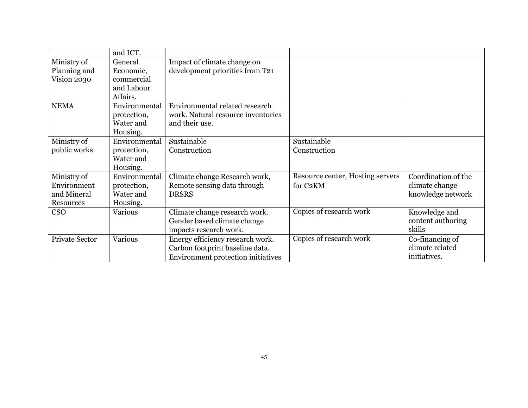|                  | and ICT.      |                                           |                                  |                     |
|------------------|---------------|-------------------------------------------|----------------------------------|---------------------|
| Ministry of      | General       | Impact of climate change on               |                                  |                     |
| Planning and     | Economic,     | development priorities from T21           |                                  |                     |
| Vision 2030      | commercial    |                                           |                                  |                     |
|                  | and Labour    |                                           |                                  |                     |
|                  | Affairs.      |                                           |                                  |                     |
| <b>NEMA</b>      | Environmental | Environmental related research            |                                  |                     |
|                  | protection,   | work. Natural resource inventories        |                                  |                     |
|                  | Water and     | and their use.                            |                                  |                     |
|                  | Housing.      |                                           |                                  |                     |
| Ministry of      | Environmental | Sustainable                               | Sustainable                      |                     |
| public works     | protection,   | Construction                              | Construction                     |                     |
|                  | Water and     |                                           |                                  |                     |
|                  | Housing.      |                                           |                                  |                     |
| Ministry of      | Environmental | Climate change Research work,             | Resource center, Hosting servers | Coordination of the |
| Environment      | protection,   | Remote sensing data through               | for C <sub>2</sub> KM            | climate change      |
| and Mineral      | Water and     | <b>DRSRS</b>                              |                                  | knowledge network   |
| <b>Resources</b> | Housing.      |                                           |                                  |                     |
| <b>CSO</b>       | Various       | Climate change research work.             | Copies of research work          | Knowledge and       |
|                  |               | Gender based climate change               |                                  | content authoring   |
|                  |               | impacts research work.                    |                                  | skills              |
| Private Sector   | Various       | Energy efficiency research work.          | Copies of research work          | Co-financing of     |
|                  |               | Carbon footprint baseline data.           |                                  | climate related     |
|                  |               | <b>Environment protection initiatives</b> |                                  | initiatives.        |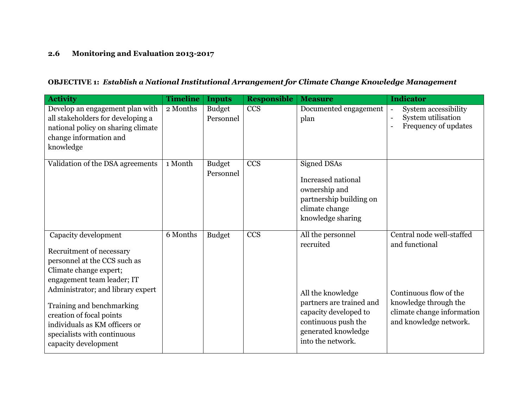## **2.6 Monitoring and Evaluation 2013-2017**

## **OBJECTIVE 1:** *Establish a National Institutional Arrangement for Climate Change Knowledge Management*

| <b>Activity</b>                                                                                                                                                                                                                                                                                                                | <b>Timeline</b> | <b>Inputs</b>              | <b>Responsible</b> | <b>Measure</b>                                                                                                                                                              | <b>Indicator</b>                                                                                                                                       |
|--------------------------------------------------------------------------------------------------------------------------------------------------------------------------------------------------------------------------------------------------------------------------------------------------------------------------------|-----------------|----------------------------|--------------------|-----------------------------------------------------------------------------------------------------------------------------------------------------------------------------|--------------------------------------------------------------------------------------------------------------------------------------------------------|
| Develop an engagement plan with<br>all stakeholders for developing a<br>national policy on sharing climate<br>change information and<br>knowledge                                                                                                                                                                              | 2 Months        | <b>Budget</b><br>Personnel | <b>CCS</b>         | Documented engagement<br>plan                                                                                                                                               | System accessibility<br>$\equiv$<br>System utilisation<br>Frequency of updates                                                                         |
| Validation of the DSA agreements                                                                                                                                                                                                                                                                                               | 1 Month         | <b>Budget</b><br>Personnel | <b>CCS</b>         | <b>Signed DSAs</b><br>Increased national<br>ownership and<br>partnership building on<br>climate change<br>knowledge sharing                                                 |                                                                                                                                                        |
| Capacity development<br>Recruitment of necessary<br>personnel at the CCS such as<br>Climate change expert;<br>engagement team leader; IT<br>Administrator; and library expert<br>Training and benchmarking<br>creation of focal points<br>individuals as KM officers or<br>specialists with continuous<br>capacity development | 6 Months        | <b>Budget</b>              | <b>CCS</b>         | All the personnel<br>recruited<br>All the knowledge<br>partners are trained and<br>capacity developed to<br>continuous push the<br>generated knowledge<br>into the network. | Central node well-staffed<br>and functional<br>Continuous flow of the<br>knowledge through the<br>climate change information<br>and knowledge network. |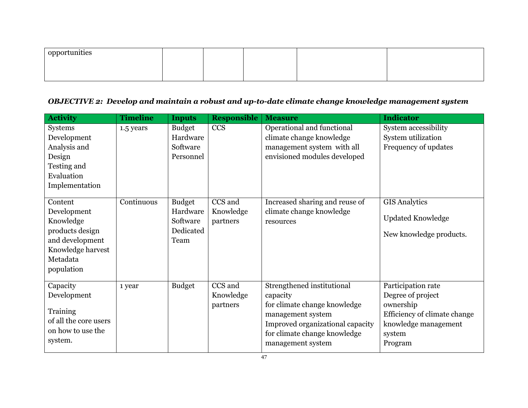| opportunities |  |  |  |
|---------------|--|--|--|
|               |  |  |  |
|               |  |  |  |

# *OBJECTIVE 2: Develop and maintain a robust and up-to-date climate change knowledge management system*

| <b>Activity</b>                                                                                                          | <b>Timeline</b> | <b>Inputs</b>                                              | <b>Responsible</b>               | <b>Measure</b>                                                                                                                                                                       | <b>Indicator</b>                                                                                                                  |
|--------------------------------------------------------------------------------------------------------------------------|-----------------|------------------------------------------------------------|----------------------------------|--------------------------------------------------------------------------------------------------------------------------------------------------------------------------------------|-----------------------------------------------------------------------------------------------------------------------------------|
| Systems<br>Development<br>Analysis and<br>Design<br>Testing and<br>Evaluation<br>Implementation                          | 1.5 years       | <b>Budget</b><br>Hardware<br>Software<br>Personnel         | CCS                              | Operational and functional<br>climate change knowledge<br>management system with all<br>envisioned modules developed                                                                 | System accessibility<br>System utilization<br>Frequency of updates                                                                |
| Content<br>Development<br>Knowledge<br>products design<br>and development<br>Knowledge harvest<br>Metadata<br>population | Continuous      | <b>Budget</b><br>Hardware<br>Software<br>Dedicated<br>Team | CCS and<br>Knowledge<br>partners | Increased sharing and reuse of<br>climate change knowledge<br>resources                                                                                                              | <b>GIS Analytics</b><br><b>Updated Knowledge</b><br>New knowledge products.                                                       |
| Capacity<br>Development<br>Training<br>of all the core users<br>on how to use the<br>system.                             | 1 year          | <b>Budget</b>                                              | CCS and<br>Knowledge<br>partners | Strengthened institutional<br>capacity<br>for climate change knowledge<br>management system<br>Improved organizational capacity<br>for climate change knowledge<br>management system | Participation rate<br>Degree of project<br>ownership<br>Efficiency of climate change<br>knowledge management<br>system<br>Program |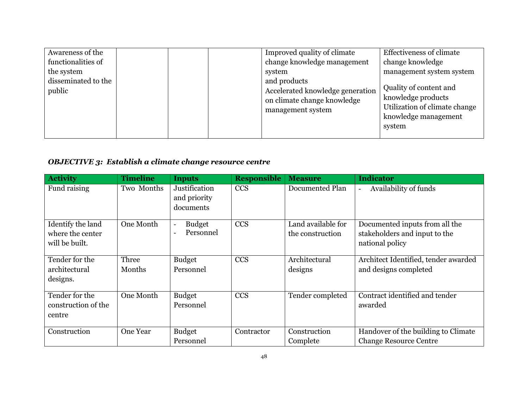| Awareness of the<br>functionalities of<br>the system<br>disseminated to the | Improved quality of climate<br>change knowledge management<br>system<br>and products | <b>Effectiveness of climate</b><br>change knowledge<br>management system system                                 |
|-----------------------------------------------------------------------------|--------------------------------------------------------------------------------------|-----------------------------------------------------------------------------------------------------------------|
| public                                                                      | Accelerated knowledge generation<br>on climate change knowledge<br>management system | Quality of content and<br>knowledge products<br>Utilization of climate change<br>knowledge management<br>system |

# *OBJECTIVE 3: Establish a climate change resource centre*

| <b>Activity</b>     | <b>Timeline</b> | <b>Inputs</b>                              | <b>Responsible</b> | <b>Measure</b>     | <b>Indicator</b>                     |
|---------------------|-----------------|--------------------------------------------|--------------------|--------------------|--------------------------------------|
| Fund raising        | Two Months      | Justification<br>and priority<br>documents | <b>CCS</b>         | Documented Plan    | Availability of funds                |
| Identify the land   | One Month       | <b>Budget</b><br>$\equiv$                  | <b>CCS</b>         | Land available for | Documented inputs from all the       |
| where the center    |                 | Personnel<br>٠                             |                    | the construction   | stakeholders and input to the        |
| will be built.      |                 |                                            |                    |                    | national policy                      |
| Tender for the      | Three           | <b>Budget</b>                              | <b>CCS</b>         | Architectural      | Architect Identified, tender awarded |
| architectural       | Months          | Personnel                                  |                    | designs            | and designs completed                |
| designs.            |                 |                                            |                    |                    |                                      |
| Tender for the      | One Month       | <b>Budget</b>                              | <b>CCS</b>         | Tender completed   | Contract identified and tender       |
| construction of the |                 | Personnel                                  |                    |                    | awarded                              |
| centre              |                 |                                            |                    |                    |                                      |
| Construction        | <b>One Year</b> | <b>Budget</b>                              | Contractor         | Construction       | Handover of the building to Climate  |
|                     |                 | Personnel                                  |                    | Complete           | <b>Change Resource Centre</b>        |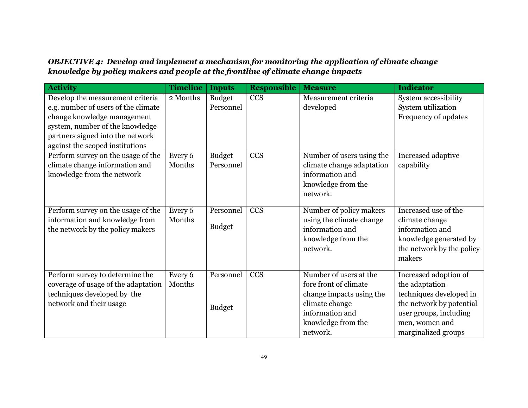## *OBJECTIVE 4: Develop and implement a mechanism for monitoring the application of climate change knowledge by policy makers and people at the frontline of climate change impacts*

| <b>Activity</b>                                                                                                                                                                                                  | <b>Timeline</b>   | <b>Inputs</b>              | <b>Responsible</b> | <b>Measure</b>                                                                                                                                     | <b>Indicator</b>                                                                                                                                                  |
|------------------------------------------------------------------------------------------------------------------------------------------------------------------------------------------------------------------|-------------------|----------------------------|--------------------|----------------------------------------------------------------------------------------------------------------------------------------------------|-------------------------------------------------------------------------------------------------------------------------------------------------------------------|
| Develop the measurement criteria<br>e.g. number of users of the climate<br>change knowledge management<br>system, number of the knowledge<br>partners signed into the network<br>against the scoped institutions | 2 Months          | <b>Budget</b><br>Personnel | <b>CCS</b>         | Measurement criteria<br>developed                                                                                                                  | System accessibility<br>System utilization<br>Frequency of updates                                                                                                |
| Perform survey on the usage of the<br>climate change information and<br>knowledge from the network                                                                                                               | Every 6<br>Months | <b>Budget</b><br>Personnel | CCS                | Number of users using the<br>climate change adaptation<br>information and<br>knowledge from the<br>network.                                        | Increased adaptive<br>capability                                                                                                                                  |
| Perform survey on the usage of the<br>information and knowledge from<br>the network by the policy makers                                                                                                         | Every 6<br>Months | Personnel<br><b>Budget</b> | <b>CCS</b>         | Number of policy makers<br>using the climate change<br>information and<br>knowledge from the<br>network.                                           | Increased use of the<br>climate change<br>information and<br>knowledge generated by<br>the network by the policy<br>makers                                        |
| Perform survey to determine the<br>coverage of usage of the adaptation<br>techniques developed by the<br>network and their usage                                                                                 | Every 6<br>Months | Personnel<br><b>Budget</b> | CCS                | Number of users at the<br>fore front of climate<br>change impacts using the<br>climate change<br>information and<br>knowledge from the<br>network. | Increased adoption of<br>the adaptation<br>techniques developed in<br>the network by potential<br>user groups, including<br>men, women and<br>marginalized groups |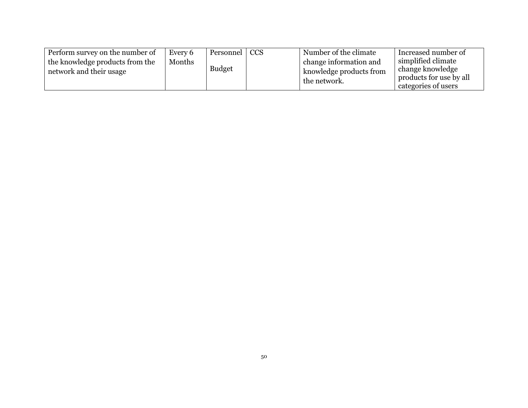| Perform survey on the number of                            | Every 6 | Personnel     | <b>CCS</b> | Number of the climate                                             | Increased number of                                                                      |
|------------------------------------------------------------|---------|---------------|------------|-------------------------------------------------------------------|------------------------------------------------------------------------------------------|
| the knowledge products from the<br>network and their usage | Months  | <b>Budget</b> |            | change information and<br>knowledge products from<br>the network. | simplified climate<br>change knowledge<br>products for use by all<br>categories of users |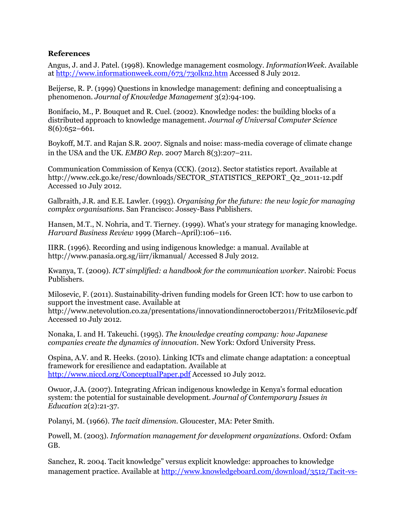#### **References**

Angus, J. and J. Patel. (1998). Knowledge management cosmology. *InformationWeek*. Available at<http://www.informationweek.com/673/73olkn2.htm> Accessed 8 July 2012.

Beijerse, R. P. (1999) Questions in knowledge management: defining and conceptualising a phenomenon. *Journal of Knowledge Management* 3(2):94-109.

Bonifacio, M., P. Bouquet and R. Cuel. (2002). Knowledge nodes: the building blocks of a distributed approach to knowledge management. *Journal of Universal Computer Science* 8(6):652–661.

Boykoff, M.T. and Rajan S.R. 2007. Signals and noise: mass-media coverage of climate change in the USA and the UK. *EMBO Rep*. 2007 March 8(3):207–211.

Communication Commission of Kenya (CCK). (2012). Sector statistics report. Available at http://www.cck.go.ke/resc/downloads/SECTOR\_STATISTICS\_REPORT\_O2\_2011-12.pdf Accessed 10 July 2012.

Galbraith, J.R. and E.E. Lawler. (1993). *Organising for the future: the new logic for managing complex organisations*. San Francisco: Jossey-Bass Publishers.

Hansen, M.T., N. Nohria, and T. Tierney. (1999). What's your strategy for managing knowledge*. Harvard Business Review* 1999 (March–April):106–116.

IIRR. (1996). Recording and using indigenous knowledge: a manual. Available at http://www.panasia.org.sg/iirr/ikmanual/ Accessed 8 July 2012.

Kwanya, T. (2009). *ICT simplified: a handbook for the communication worker*. Nairobi: Focus Publishers.

Milosevic, F. (2011). Sustainability-driven funding models for Green ICT: how to use carbon to support the investment case. Available at

http://www.netevolution.co.za/presentations/innovationdinneroctober2011/FritzMilosevic.pdf Accessed 10 July 2012.

Nonaka, I. and H. Takeuchi. (1995). *The knowledge creating company: how Japanese companies create the dynamics of innovation*. New York: Oxford University Press.

Ospina, A.V. and R. Heeks. (2010). Linking ICTs and climate change adaptation: a conceptual framework for eresilience and eadaptation. Available at <http://www.niccd.org/ConceptualPaper.pdf> Accessed 10 July 2012.

Owuor, J.A. (2007). Integrating African indigenous knowledge in Kenya's formal education system: the potential for sustainable development. *Journal of Contemporary Issues in Education* 2(2):21-37.

Polanyi, M. (1966). *The tacit dimension*. Gloucester, MA: Peter Smith.

Powell, M. (2003). *Information management for development organizations*. Oxford: Oxfam GB.

Sanchez, R. 2004. Tacit knowledge" versus explicit knowledge: approaches to knowledge management practice. Available at [http://www.knowledgeboard.com/download/3512/Tacit-vs-](http://www.knowledgeboard.com/download/3512/Tacit-vs-Explicit.pdf%20Accessed%208%20July%202012)